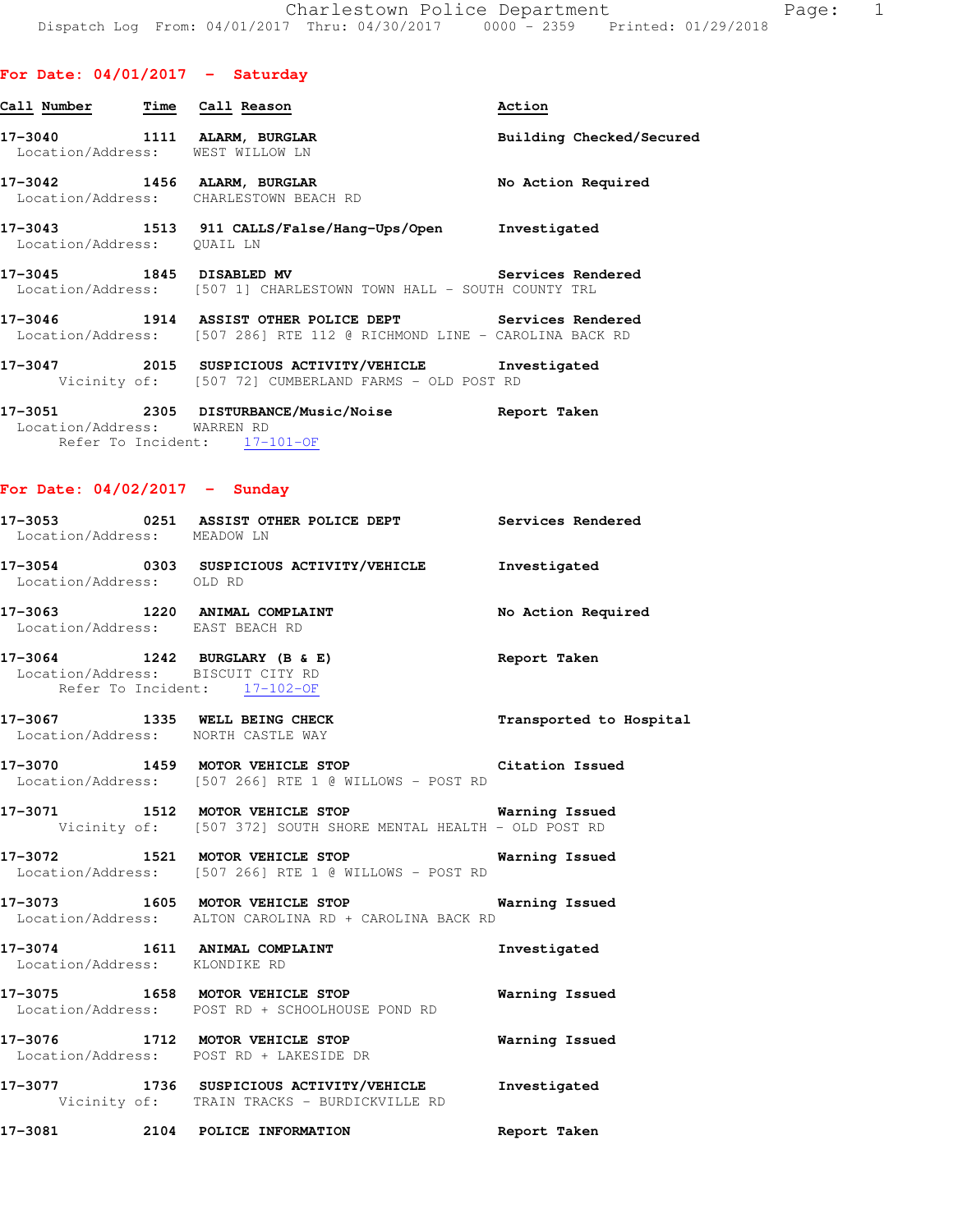| Call Number                 | Time Call Reason                                                                                                                  | Action                   |
|-----------------------------|-----------------------------------------------------------------------------------------------------------------------------------|--------------------------|
|                             | 17-3040 1111 ALARM, BURGLAR<br>Location/Address: WEST WILLOW LN                                                                   | Building Checked/Secured |
|                             | 17-3042 1456 ALARM, BURGLAR<br>Location/Address: CHARLESTOWN BEACH RD                                                             | No Action Required       |
| Location/Address: QUAIL LN  | 17-3043 1513 911 CALLS/False/Hang-Ups/Open Investigated                                                                           |                          |
|                             | 17-3045 1845 DISABLED MV Services Rendered<br>Location/Address: [507 1] CHARLESTOWN TOWN HALL - SOUTH COUNTY TRL                  |                          |
|                             | 17-3046 1914 ASSIST OTHER POLICE DEPT Services Rendered<br>Location/Address: [507 286] RTE 112 @ RICHMOND LINE - CAROLINA BACK RD |                          |
|                             | 17-3047 2015 SUSPICIOUS ACTIVITY/VEHICLE Investigated<br>Vicinity of: [507 72] CUMBERLAND FARMS - OLD POST RD                     |                          |
| Location/Address: WARREN RD | 17-3051 2305 DISTURBANCE/Music/Noise<br>Refer To Incident: 17-101-OF                                                              | Report Taken             |

**For Date: 04/02/2017 - Sunday**

| Location/Address: MEADOW LN       | 17-3053 0251 ASSIST OTHER POLICE DEPT Services Rendered                                                            |                    |
|-----------------------------------|--------------------------------------------------------------------------------------------------------------------|--------------------|
| Location/Address: OLD RD          | 17-3054 0303 SUSPICIOUS ACTIVITY/VEHICLE 1nvestigated                                                              |                    |
| Location/Address: EAST BEACH RD   | 17-3063 1220 ANIMAL COMPLAINT                                                                                      | No Action Required |
| Location/Address: BISCUIT CITY RD | 17-3064 1242 BURGLARY (B & E)<br>Refer To Incident: 17-102-OF                                                      | Report Taken       |
|                                   | 17-3067 1335 WELL BEING CHECK Transported to Hospital<br>Location/Address: NORTH CASTLE WAY                        |                    |
|                                   | 17-3070 1459 MOTOR VEHICLE STOP Citation Issued<br>Location/Address: [507 266] RTE 1 @ WILLOWS - POST RD           |                    |
|                                   | 17-3071 1512 MOTOR VEHICLE STOP 6 Warning Issued<br>Vicinity of: [507 372] SOUTH SHORE MENTAL HEALTH - OLD POST RD |                    |
|                                   | 17-3072 1521 MOTOR VEHICLE STOP Warning Issued<br>Location/Address: [507 266] RTE 1 @ WILLOWS - POST RD            |                    |
|                                   | 17-3073 1605 MOTOR VEHICLE STOP <b>Warning Issued</b><br>Location/Address: ALTON CAROLINA RD + CAROLINA BACK RD    |                    |
| Location/Address: KLONDIKE RD     | 17-3074 1611 ANIMAL COMPLAINT                                                                                      | Investigated       |
|                                   | 17-3075 1658 MOTOR VEHICLE STOP 5 Warning Issued<br>Location/Address: POST RD + SCHOOLHOUSE POND RD                |                    |
|                                   | 17-3076 1712 MOTOR VEHICLE STOP 6 Warning Issued<br>Location/Address: POST RD + LAKESIDE DR                        |                    |
|                                   | 17-3077 1736 SUSPICIOUS ACTIVITY/VEHICLE Investigated<br>Vicinity of: TRAIN TRACKS - BURDICKVILLE RD               |                    |
|                                   | 17-3081 2104 POLICE INFORMATION                                                                                    | Report Taken       |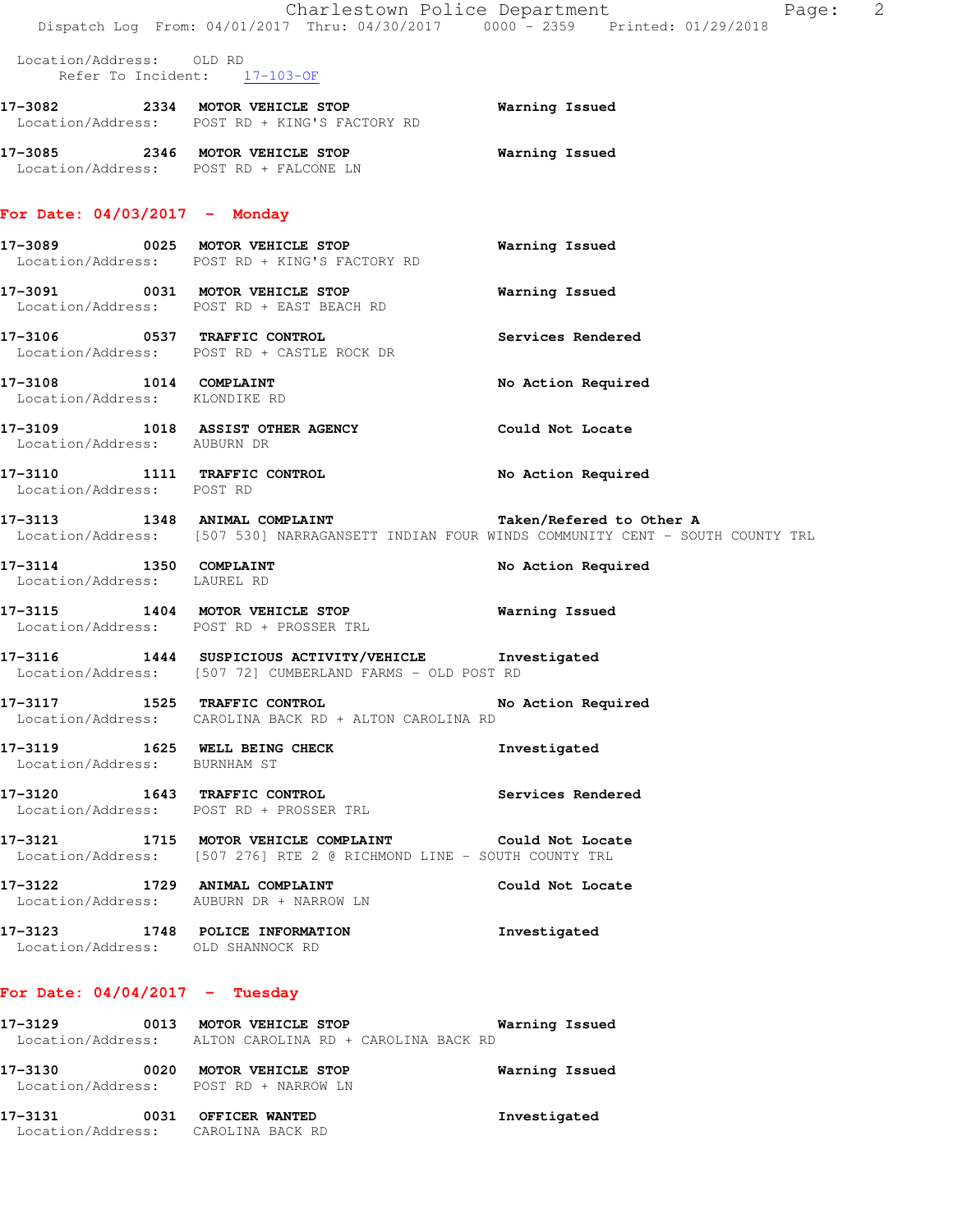|                                                         | Dispatch Log From: 04/01/2017 Thru: 04/30/2017 0000 - 2359 Printed: 01/29/2018                                                | Charlestown Police Department<br>Page: 2                                                                                 |  |
|---------------------------------------------------------|-------------------------------------------------------------------------------------------------------------------------------|--------------------------------------------------------------------------------------------------------------------------|--|
| Location/Address: OLD RD                                | Refer To Incident: 17-103-OF                                                                                                  |                                                                                                                          |  |
|                                                         | 17-3082 2334 MOTOR VEHICLE STOP<br>Location/Address: POST RD + KING'S FACTORY RD                                              | Warning Issued                                                                                                           |  |
|                                                         | 17-3085 2346 MOTOR VEHICLE STOP<br>Location/Address: POST RD + FALCONE LN                                                     | <b>Warning Issued</b>                                                                                                    |  |
| For Date: $04/03/2017$ - Monday                         |                                                                                                                               |                                                                                                                          |  |
|                                                         | 17-3089 0025 MOTOR VEHICLE STOP<br>Location/Address: POST RD + KING'S FACTORY RD                                              | Warning Issued                                                                                                           |  |
|                                                         | 17-3091 0031 MOTOR VEHICLE STOP<br>Location/Address: POST RD + EAST BEACH RD                                                  | Warning Issued                                                                                                           |  |
|                                                         | 17-3106 0537 TRAFFIC CONTROL<br>Location/Address: POST RD + CASTLE ROCK DR                                                    | Services Rendered                                                                                                        |  |
| 17-3108 1014 COMPLAINT<br>Location/Address: KLONDIKE RD |                                                                                                                               | No Action Required                                                                                                       |  |
| Location/Address: AUBURN DR                             | 17-3109 1018 ASSIST OTHER AGENCY                                                                                              | Could Not Locate                                                                                                         |  |
| Location/Address: POST RD                               | 17-3110 1111 TRAFFIC CONTROL                                                                                                  | No Action Required                                                                                                       |  |
|                                                         | 17-3113 1348 ANIMAL COMPLAINT                                                                                                 | Taken/Refered to Other A<br>Location/Address: [507 530] NARRAGANSETT INDIAN FOUR WINDS COMMUNITY CENT - SOUTH COUNTY TRL |  |
| 17-3114 1350 COMPLAINT<br>Location/Address: LAUREL RD   |                                                                                                                               | No Action Required                                                                                                       |  |
|                                                         | 17-3115 1404 MOTOR VEHICLE STOP 6 Warning Issued<br>Location/Address: POST RD + PROSSER TRL                                   |                                                                                                                          |  |
|                                                         | 17-3116 1444 SUSPICIOUS ACTIVITY/VEHICLE Investigated<br>Location/Address: [507 72] CUMBERLAND FARMS - OLD POST RD            |                                                                                                                          |  |
|                                                         | 17-3117 1525 TRAFFIC CONTROL 150 No Action Required<br>Location/Address: CAROLINA BACK RD + ALTON CAROLINA RD                 |                                                                                                                          |  |
| Location/Address: BURNHAM ST                            | 17-3119 1625 WELL BEING CHECK                                                                                                 | Investigated                                                                                                             |  |
|                                                         | 17-3120 1643 TRAFFIC CONTROL<br>Location/Address: POST RD + PROSSER TRL                                                       | Services Rendered                                                                                                        |  |
|                                                         | 17-3121 1715 MOTOR VEHICLE COMPLAINT Could Not Locate<br>Location/Address: [507 276] RTE 2 @ RICHMOND LINE - SOUTH COUNTY TRL |                                                                                                                          |  |
|                                                         | 17-3122 1729 ANIMAL COMPLAINT<br>Location/Address: AUBURN DR + NARROW LN                                                      | Could Not Locate                                                                                                         |  |
| Location/Address: OLD SHANNOCK RD                       | 17-3123 1748 POLICE INFORMATION                                                                                               | Investigated                                                                                                             |  |
| For Date: $04/04/2017$ - Tuesday                        |                                                                                                                               |                                                                                                                          |  |
|                                                         | 17-3129 0013 MOTOR VEHICLE STOP 6 Warning Issued<br>Location/Address: ALTON CAROLINA RD + CAROLINA BACK RD                    |                                                                                                                          |  |
|                                                         | 17-3130 0020 MOTOR VEHICLE STOP<br>Location/Address: POST RD + NARROW LN                                                      | Warning Issued                                                                                                           |  |
| Location/Address: CAROLINA BACK RD                      | 17-3131 0031 OFFICER WANTED                                                                                                   | Investigated                                                                                                             |  |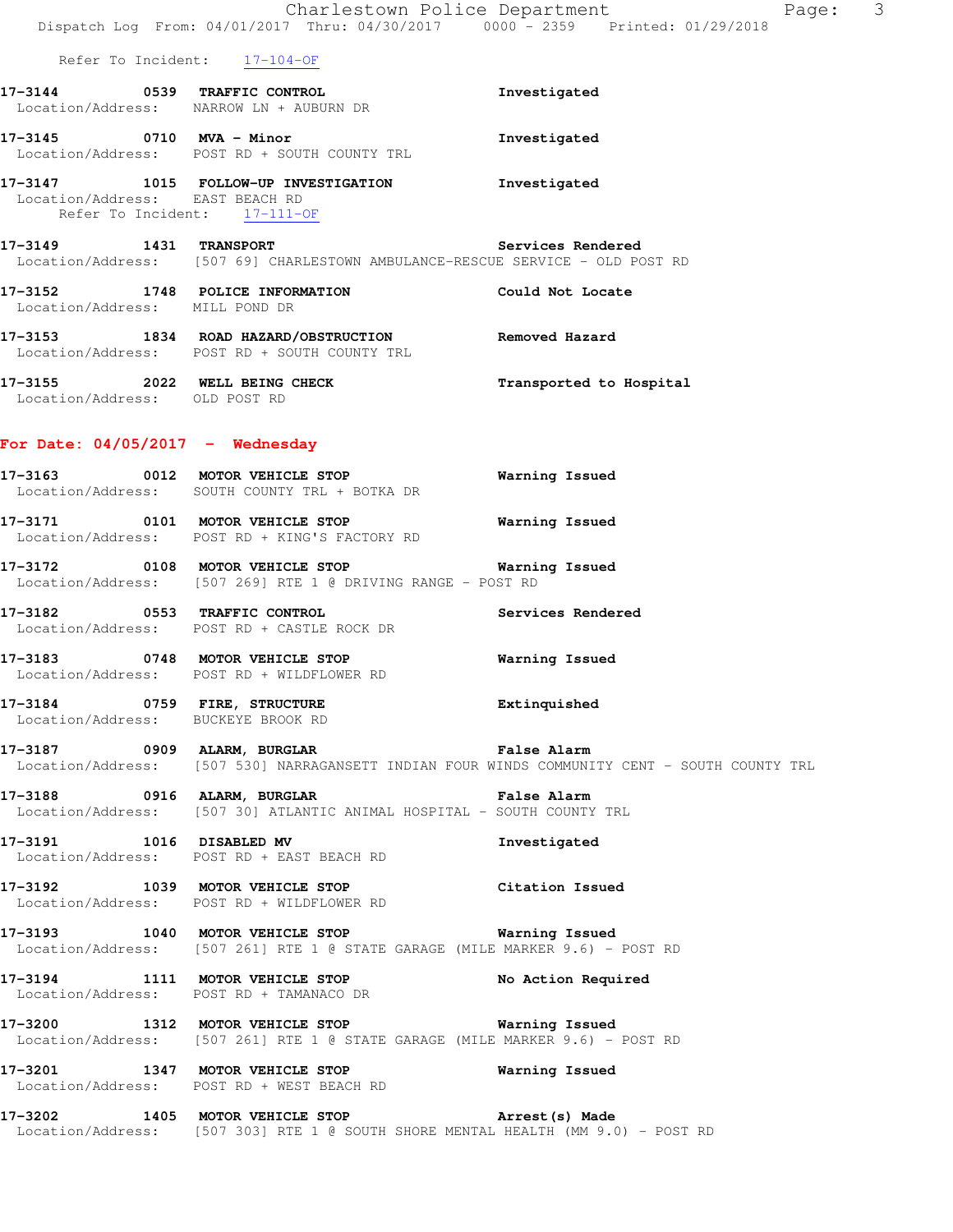|                                                                 | Dispatch Log From: 04/01/2017 Thru: 04/30/2017 0000 - 2359 Printed: 01/29/2018                                                              | 3<br>Charlestown Police Department<br>Page:                                                  |
|-----------------------------------------------------------------|---------------------------------------------------------------------------------------------------------------------------------------------|----------------------------------------------------------------------------------------------|
|                                                                 | Refer To Incident: 17-104-OF                                                                                                                |                                                                                              |
|                                                                 | 17-3144 0539 TRAFFIC CONTROL<br>Location/Address: NARROW LN + AUBURN DR                                                                     | Investigated                                                                                 |
|                                                                 | 17-3145 0710 MVA - Minor<br>Location/Address: POST RD + SOUTH COUNTY TRL                                                                    | Investigated                                                                                 |
| Location/Address: EAST BEACH RD<br>Refer To Incident: 17-111-OF | 17-3147 1015 FOLLOW-UP INVESTIGATION Investigated                                                                                           |                                                                                              |
|                                                                 | 17-3149 1431 TRANSPORT<br>Location/Address: [507 69] CHARLESTOWN AMBULANCE-RESCUE SERVICE - OLD POST RD                                     | Services Rendered                                                                            |
| Location/Address: MILL POND DR                                  | 17-3152 1748 POLICE INFORMATION Could Not Locate                                                                                            |                                                                                              |
|                                                                 | 17-3153 1834 ROAD HAZARD/OBSTRUCTION Removed Hazard<br>Location/Address: POST RD + SOUTH COUNTY TRL                                         |                                                                                              |
| Location/Address: OLD POST RD                                   | 17-3155 2022 WELL BEING CHECK                                                                                                               | Transported to Hospital                                                                      |
| For Date: $04/05/2017$ - Wednesday                              |                                                                                                                                             |                                                                                              |
|                                                                 | 17-3163 0012 MOTOR VEHICLE STOP<br>Location/Address: SOUTH COUNTY TRL + BOTKA DR                                                            | Warning Issued                                                                               |
|                                                                 | 17-3171 0101 MOTOR VEHICLE STOP<br>Location/Address: POST RD + KING'S FACTORY RD                                                            | Warning Issued                                                                               |
|                                                                 | 17-3172 0108 MOTOR VEHICLE STOP 6 Warning Issued<br>Location/Address: [507 269] RTE 1 @ DRIVING RANGE - POST RD                             |                                                                                              |
|                                                                 | 17-3182 0553 TRAFFIC CONTROL<br>Location/Address: POST RD + CASTLE ROCK DR                                                                  | Services Rendered                                                                            |
|                                                                 | 17-3183 0748 MOTOR VEHICLE STOP 6 Warning Issued<br>Location/Address: POST RD + WILDFLOWER RD                                               |                                                                                              |
| Location/Address: BUCKEYE BROOK RD                              | 17-3184 0759 FIRE, STRUCTURE                                                                                                                | Extinquished                                                                                 |
|                                                                 | 17-3187 		 0909 ALARM, BURGLAR 		 Talse Alarm                                                                                               | Location/Address: [507 530] NARRAGANSETT INDIAN FOUR WINDS COMMUNITY CENT - SOUTH COUNTY TRL |
|                                                                 | 17-3188 0916 ALARM, BURGLAR<br>Location/Address: [507 30] ATLANTIC ANIMAL HOSPITAL - SOUTH COUNTY TRL                                       | False Alarm                                                                                  |
|                                                                 | 17-3191 1016 DISABLED MV<br>Location/Address: POST RD + EAST BEACH RD                                                                       | Investigated                                                                                 |
|                                                                 | 17-3192 1039 MOTOR VEHICLE STOP<br>Location/Address: POST RD + WILDFLOWER RD                                                                | Citation Issued                                                                              |
|                                                                 | 17-3193 1040 MOTOR VEHICLE STOP <b>WATER</b> Warning Issued<br>Location/Address: [507 261] RTE 1 @ STATE GARAGE (MILE MARKER 9.6) - POST RD |                                                                                              |
|                                                                 | 17-3194 1111 MOTOR VEHICLE STOP<br>Location/Address: POST RD + TAMANACO DR                                                                  | No Action Required                                                                           |
|                                                                 | 17-3200 1312 MOTOR VEHICLE STOP 6 Warning Issued<br>Location/Address: [507 261] RTE 1 @ STATE GARAGE (MILE MARKER 9.6) - POST RD            |                                                                                              |
|                                                                 | 17-3201 1347 MOTOR VEHICLE STOP<br>Location/Address: POST RD + WEST BEACH RD                                                                | Warning Issued                                                                               |
| 17-3202                                                         | 1405 MOTOR VEHICLE STOP FOR Arrest (s) Made<br>  Location/Address: [507 303] RTE 1 @ SOUTH SHORE MENTAL HEALTH (MM 9.0) - POST RD           |                                                                                              |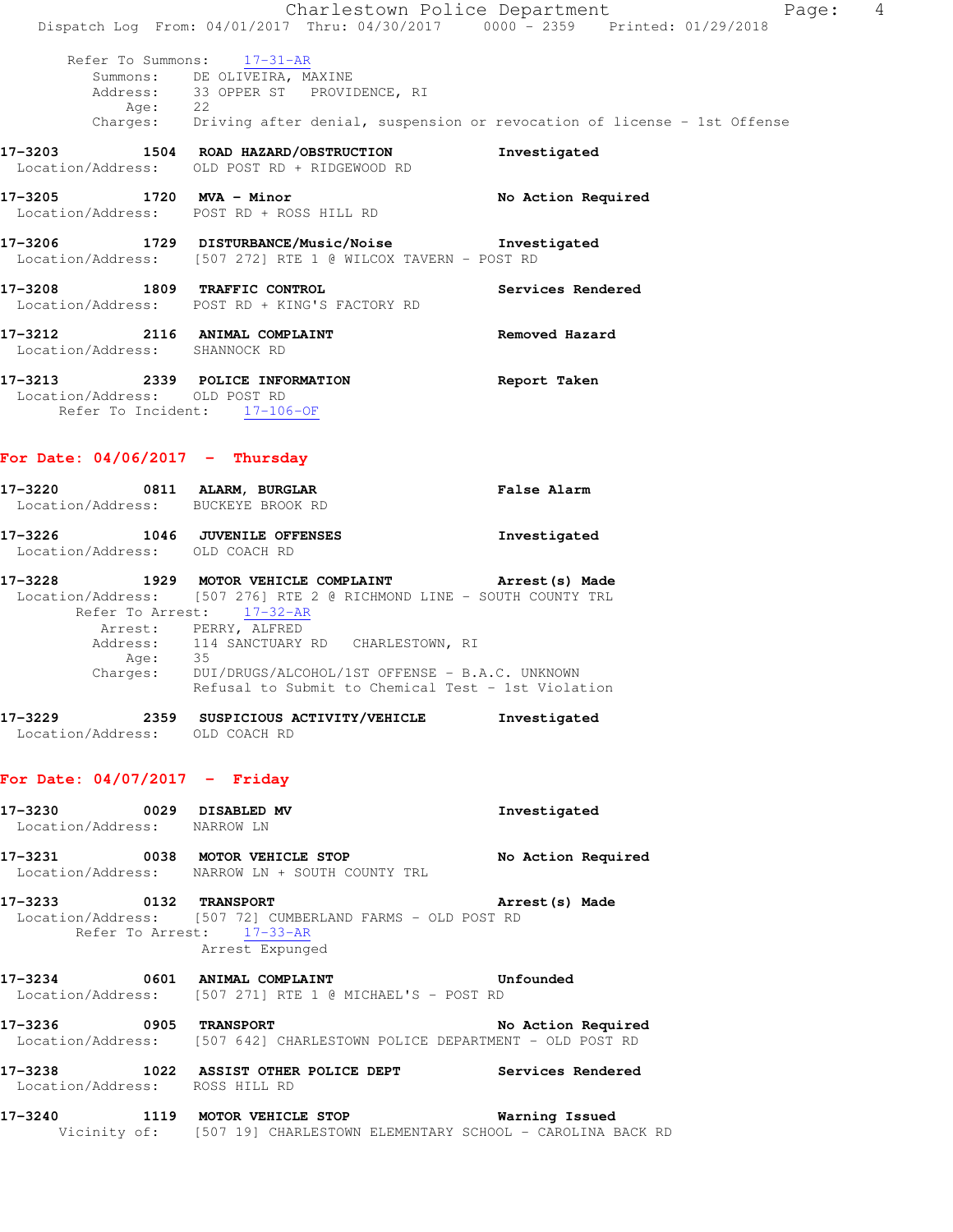|                                                                   | Dispatch Log From: 04/01/2017 Thru: 04/30/2017 0000 - 2359 Printed: 01/29/2018                                                                                                        | Charlestown Police Department<br>Page: 4 |  |
|-------------------------------------------------------------------|---------------------------------------------------------------------------------------------------------------------------------------------------------------------------------------|------------------------------------------|--|
| Age: 22                                                           | Refer To Summons: 17-31-AR<br>Summons: DE OLIVEIRA, MAXINE<br>Address: 33 OPPER ST PROVIDENCE, RI<br>Charges: Driving after denial, suspension or revocation of license - 1st Offense |                                          |  |
|                                                                   | 17-3203 1504 ROAD HAZARD/OBSTRUCTION<br>Location/Address: OLD POST RD + RIDGEWOOD RD                                                                                                  | Investigated                             |  |
| 17-3205 1720 MVA - Minor                                          | Location/Address: POST RD + ROSS HILL RD                                                                                                                                              | No Action Required                       |  |
|                                                                   | 17-3206 1729 DISTURBANCE/Music/Noise 1nvestigated<br>Location/Address: [507 272] RTE 1 @ WILCOX TAVERN - POST RD                                                                      |                                          |  |
| 17-3208 1809 TRAFFIC CONTROL                                      | Location/Address: POST RD + KING'S FACTORY RD                                                                                                                                         | Services Rendered                        |  |
| Location/Address: SHANNOCK RD                                     | 17-3212 2116 ANIMAL COMPLAINT                                                                                                                                                         | <b>Removed Hazard</b>                    |  |
| Location/Address: OLD POST RD<br>Refer To Incident: 17-106-OF     | 17-3213 2339 POLICE INFORMATION                                                                                                                                                       | Report Taken                             |  |
| For Date: $04/06/2017 -$ Thursday                                 |                                                                                                                                                                                       |                                          |  |
| 17-3220 0811 ALARM, BURGLAR<br>Location/Address: BUCKEYE BROOK RD |                                                                                                                                                                                       | <b>False Alarm</b>                       |  |
| 17-3226 1046 JUVENILE OFFENSES<br>Location/Address: OLD COACH RD  |                                                                                                                                                                                       | Investigated                             |  |

### **17-3228 1929 MOTOR VEHICLE COMPLAINT Arrest(s) Made**  Location/Address: [507 276] RTE 2 @ RICHMOND LINE - SOUTH COUNTY TRL Refer To Arrest: 17-32-AR Arrest: PERRY, ALFRED Address: 114 SANCTUARY RD CHARLESTOWN, RI Age: 35 Charges: DUI/DRUGS/ALCOHOL/1ST OFFENSE - B.A.C. UNKNOWN Refusal to Submit to Chemical Test - 1st Violation

| 17-3229           | 2359 | SUSPICIOUS ACTIVITY/VEHICLE | Investigated |
|-------------------|------|-----------------------------|--------------|
| Location/Address: |      | OLD COACH RD                |              |

### **For Date: 04/07/2017 - Friday**

| 17-3230 0029 DISABLED MV<br>Location/Address: NARROW LN |      |                                                                                                           | Investigated       |
|---------------------------------------------------------|------|-----------------------------------------------------------------------------------------------------------|--------------------|
|                                                         |      | Location/Address: NARROW LN + SOUTH COUNTY TRL                                                            | No Action Required |
| <b>17-3233      0132  TRANSPORT</b>                     |      | Location/Address: [507 72] CUMBERLAND FARMS - OLD POST RD<br>Refer To Arrest: 17-33-AR<br>Arrest Expunged | Arrest (s) Made    |
|                                                         |      | 17-3234 0601 ANIMAL COMPLAINT<br>Location/Address: [507 271] RTE 1 @ MICHAEL'S - POST RD                  | Unfounded          |
| 17-3236 0905 TRANSPORT                                  |      | Location/Address: [507 642] CHARLESTOWN POLICE DEPARTMENT - OLD POST RD                                   | No Action Required |
| 17–3238                                                 |      | 1022 ASSIST OTHER POLICE DEPT<br>Location/Address: ROSS HILL RD                                           | Services Rendered  |
| 17-3240                                                 | 1119 | MOTOR VEHICLE STOP                                                                                        | Warning Issued     |

Vicinity of: [507 19] CHARLESTOWN ELEMENTARY SCHOOL - CAROLINA BACK RD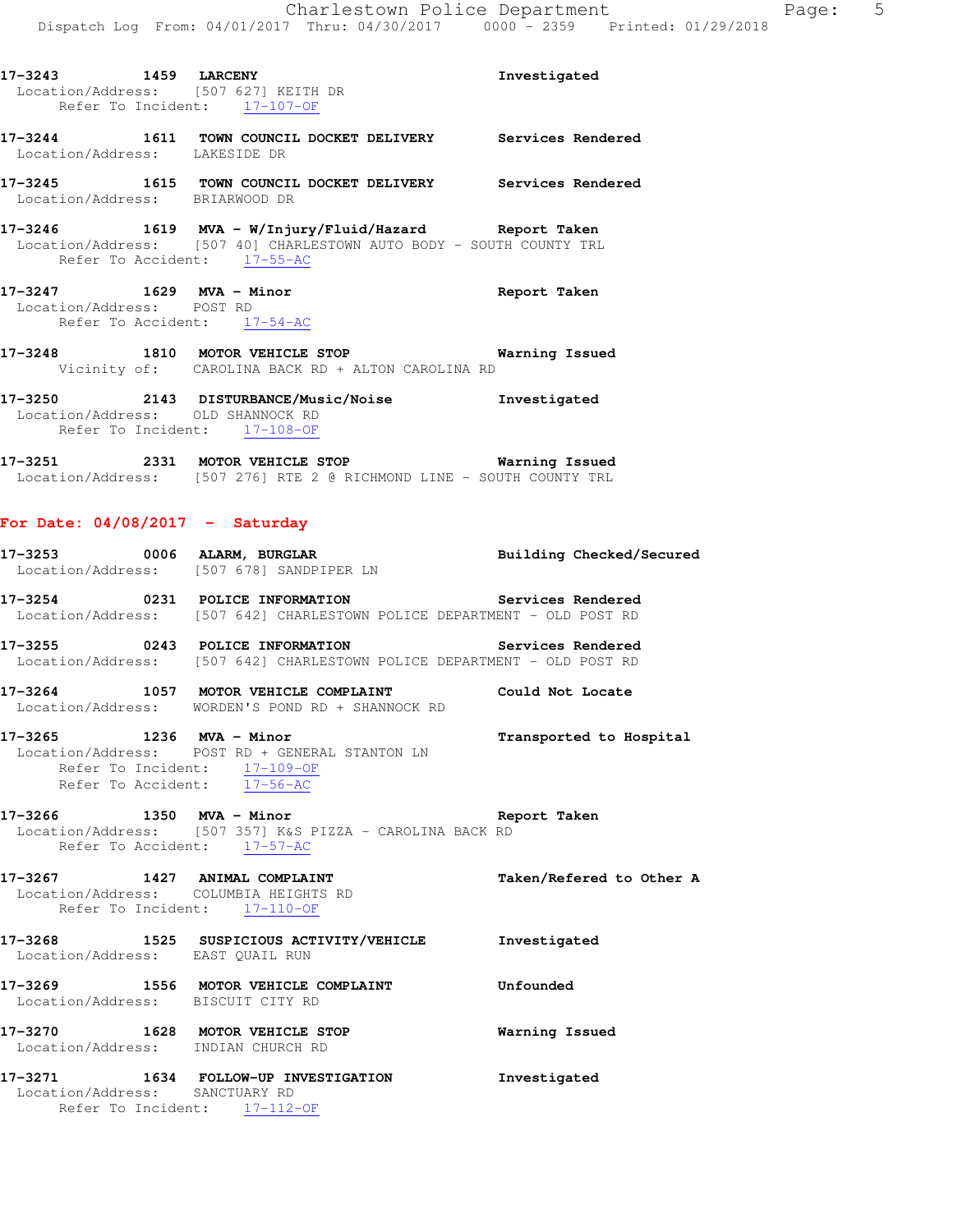| 17-3243 1459 LARCENY<br>Location/Address: [507 627] KEITH DR                                                                 | Refer To Incident: 17-107-OF      |  | Investigated      |  |
|------------------------------------------------------------------------------------------------------------------------------|-----------------------------------|--|-------------------|--|
| 17-3244<br>Location/Address: LAKESIDE DR                                                                                     | 1611 TOWN COUNCIL DOCKET DELIVERY |  | Services Rendered |  |
| 17–3245<br>Location/Address: BRIARWOOD DR                                                                                    | 1615 TOWN COUNCIL DOCKET DELIVERY |  | Services Rendered |  |
| 17-3246 1619 MVA - W/Injury/Fluid/Hazard Report Taken<br>Location/Address: [507 40] CHARLESTOWN AUTO BODY - SOUTH COUNTY TRL | Refer To Accident: 17-55-AC       |  |                   |  |
| 17-3247 1629 MVA - Minor<br>Location/Address: POST RD                                                                        | Refer To Accident: 17-54-AC       |  | Report Taken      |  |

**17-3248 1810 MOTOR VEHICLE STOP Warning Issued**  Vicinity of: CAROLINA BACK RD + ALTON CAROLINA RD

**17-3250 2143 DISTURBANCE/Music/Noise Investigated**  Location/Address: OLD SHANNOCK RD Refer To Incident: 17-108-OF

**17-3251 2331 MOTOR VEHICLE STOP Warning Issued**  Location/Address: [507 276] RTE 2 @ RICHMOND LINE - SOUTH COUNTY TRL

## **For Date: 04/08/2017 - Saturday**

|                                                                       | 17-3253 0006 ALARM, BURGLAR BURGINER LN Building Checked/Secured Location/Address: [507 678] SANDPIPER LN                     |                         |
|-----------------------------------------------------------------------|-------------------------------------------------------------------------------------------------------------------------------|-------------------------|
|                                                                       | 17-3254 0231 POLICE INFORMATION Services Rendered<br>Location/Address: [507 642] CHARLESTOWN POLICE DEPARTMENT - OLD POST RD  |                         |
|                                                                       | 17-3255 0243 POLICE INFORMATION Services Rendered<br>Location/Address: [507 642] CHARLESTOWN POLICE DEPARTMENT - OLD POST RD  |                         |
|                                                                       | 17-3264 1057 MOTOR VEHICLE COMPLAINT Could Not Locate<br>Location/Address: WORDEN'S POND RD + SHANNOCK RD                     |                         |
|                                                                       | 17-3265 1236 MVA - Minor<br>Location/Address: POST RD + GENERAL STANTON LN<br>Refer To Incident: $\frac{17-109-0F}{17-56-AC}$ | Transported to Hospital |
|                                                                       | $17-3266$ 1350 MVA - Minor<br>Rep Location/Address: [507 357] K&S PIZZA - CAROLINA BACK RD<br>Refer To Accident: 17-57 AC     | Report Taken            |
| Location/Address: COLUMBIA HEIGHTS RD<br>Refer To Incident: 17-110-OF | 17-3267 1427 ANIMAL COMPLAINT Taken/Refered to Other A                                                                        |                         |
| Location/Address: EAST QUAIL RUN                                      | 17-3268 1525 SUSPICIOUS ACTIVITY/VEHICLE Investigated                                                                         |                         |
| Location/Address: BISCUIT CITY RD                                     | 17-3269 1556 MOTOR VEHICLE COMPLAINT Confounded                                                                               |                         |
| Location/Address: INDIAN CHURCH RD                                    | 17-3270 1628 MOTOR VEHICLE STOP <b>Warning Issued</b>                                                                         |                         |
| Location/Address: SANCTUARY RD<br>Refer To Incident: $17-112-OF$      | 17-3271 1634 FOLLOW-UP INVESTIGATION 1nvestigated                                                                             |                         |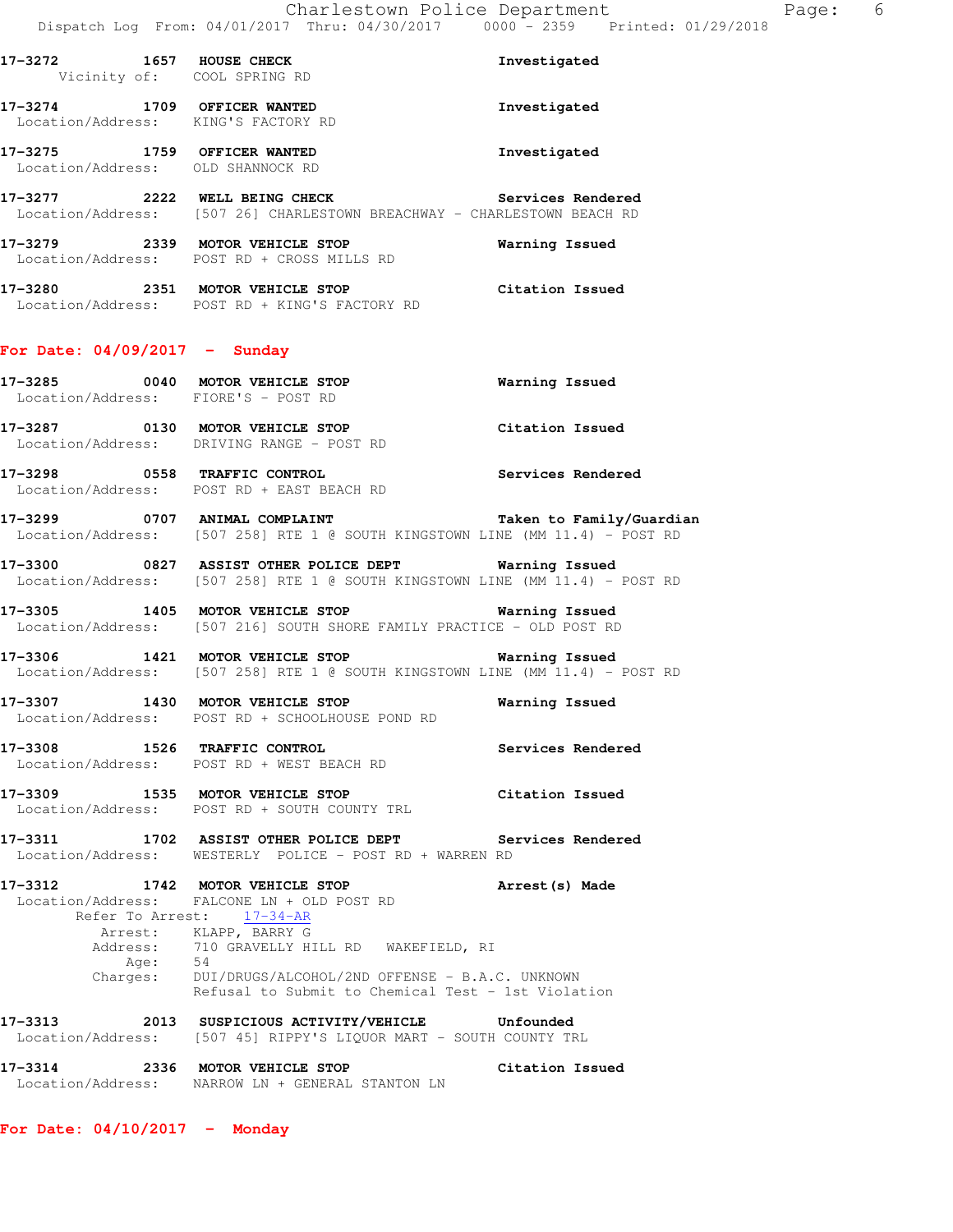|                                                                    | DISPACCH DOG FIOM; 04/01/2017 INIU; 04/30/2017 - 0000 - 2332                                                                                                                                                                                                   | FIINLEU. VI/          |
|--------------------------------------------------------------------|----------------------------------------------------------------------------------------------------------------------------------------------------------------------------------------------------------------------------------------------------------------|-----------------------|
| 17-3272 1657 HOUSE CHECK<br>Vicinity of: COOL SPRING RD            |                                                                                                                                                                                                                                                                | Investigated          |
| 17-3274 1709 OFFICER WANTED<br>Location/Address: KING'S FACTORY RD |                                                                                                                                                                                                                                                                | Investigated          |
| 17-3275 1759 OFFICER WANTED<br>Location/Address: OLD SHANNOCK RD   |                                                                                                                                                                                                                                                                | Investigated          |
|                                                                    | 17-3277 2222 WELL BEING CHECK Services Rendered<br>Location/Address: [507 26] CHARLESTOWN BREACHWAY - CHARLESTOWN BEACH RD                                                                                                                                     |                       |
|                                                                    | 17-3279 		 2339 MOTOR VEHICLE STOP 		 Warning Issued<br>Location/Address: POST RD + CROSS MILLS RD                                                                                                                                                             |                       |
|                                                                    | 17-3280 2351 MOTOR VEHICLE STOP<br>Location/Address: POST RD + KING'S FACTORY RD                                                                                                                                                                               | Citation Issued       |
| For Date: $04/09/2017 -$ Sunday                                    |                                                                                                                                                                                                                                                                |                       |
| Location/Address: FIORE'S - POST RD                                | 17-3285 0040 MOTOR VEHICLE STOP                                                                                                                                                                                                                                | <b>Warning Issued</b> |
|                                                                    | 17-3287 0130 MOTOR VEHICLE STOP Citation Issued<br>Location/Address: DRIVING RANGE - POST RD                                                                                                                                                                   |                       |
|                                                                    | 17-3298 0558 TRAFFIC CONTROL<br>Location/Address: POST RD + EAST BEACH RD                                                                                                                                                                                      | Services Rendered     |
|                                                                    | Location/Address: [507 258] RTE 1 @ SOUTH KINGSTOWN LINE (MM 11.4) - POST RD                                                                                                                                                                                   |                       |
|                                                                    | Location/Address: [507 258] RTE 1 @ SOUTH KINGSTOWN LINE (MM 11.4) - POST RD                                                                                                                                                                                   |                       |
|                                                                    | 17-3305 1405 MOTOR VEHICLE STOP <b>Warning Issued</b><br>Location/Address: [507 216] SOUTH SHORE FAMILY PRACTICE - OLD POST RD                                                                                                                                 |                       |
|                                                                    | 17-3306 1421 MOTOR VEHICLE STOP 6 Warning Issued<br>Location/Address: [507 258] RTE 1 @ SOUTH KINGSTOWN LINE (MM 11.4) - POST RD                                                                                                                               |                       |
|                                                                    | 17-3307 1430 MOTOR VEHICLE STOP<br>Location/Address: POST RD + SCHOOLHOUSE POND RD                                                                                                                                                                             | Warning Issued        |
| 17-3308 1526 TRAFFIC CONTROL                                       | Location/Address: POST RD + WEST BEACH RD                                                                                                                                                                                                                      | Services Rendered     |
| 17-3309 1535 MOTOR VEHICLE STOP                                    | Location/Address: POST RD + SOUTH COUNTY TRL                                                                                                                                                                                                                   | Citation Issued       |
| 17–3311                                                            | 1702 ASSIST OTHER POLICE DEPT<br>Location/Address: WESTERLY POLICE - POST RD + WARREN RD                                                                                                                                                                       | Services Rendered     |
| 17-3312 1742 MOTOR VEHICLE STOP<br>Refer To Arrest:<br>Charges:    | Location/Address: FALCONE LN + OLD POST RD<br>$17 - 34 - AR$<br>Arrest: KLAPP, BARRY G<br>Address: 710 GRAVELLY HILL RD WAKEFIELD, RI<br>Age: 54<br>rges: DUI/DRUGS/ALCOHOL/2ND OFFENSE - B.A.C. UNKNOWN<br>Refusal to Submit to Chemical Test - 1st Violation | Arrest (s) Made       |
|                                                                    |                                                                                                                                                                                                                                                                |                       |

**17-3313 2013 SUSPICIOUS ACTIVITY/VEHICLE Unfounded**  Location/Address: [507 45] RIPPY'S LIQUOR MART - SOUTH COUNTY TRL

**17-3314 2336 MOTOR VEHICLE STOP Citation Issued**  Location/Address: NARROW LN + GENERAL STANTON LN

**For Date: 04/10/2017 - Monday**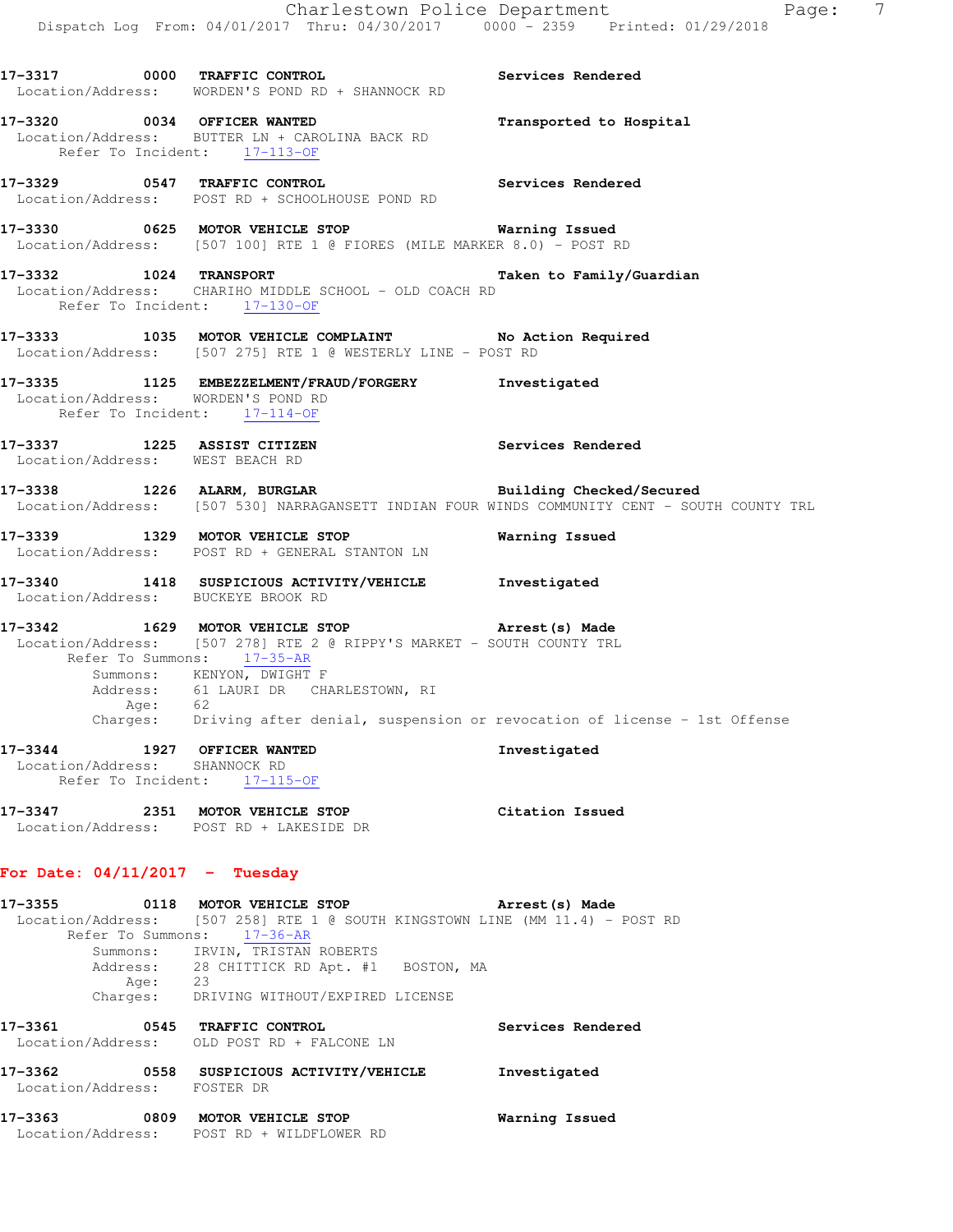| 17–3355                                                     |      | 0118 MOTOR VEHICLE STOP                                                                                                                                                                                                                                   | Arrest (s) Made                                                                              |                |
|-------------------------------------------------------------|------|-----------------------------------------------------------------------------------------------------------------------------------------------------------------------------------------------------------------------------------------------------------|----------------------------------------------------------------------------------------------|----------------|
| For Date: $04/11/2017$ - Tuesday                            |      |                                                                                                                                                                                                                                                           |                                                                                              |                |
| 17-3347<br>Location/Address:                                |      | 2351 MOTOR VEHICLE STOP<br>POST RD + LAKESIDE DR                                                                                                                                                                                                          | Citation Issued                                                                              |                |
| 17-3344<br>Location/Address:<br>Refer To Incident:          | 1927 | <b>OFFICER WANTED</b><br>SHANNOCK RD<br>17-115-OF                                                                                                                                                                                                         | Investigated                                                                                 |                |
| Charges:                                                    | Age: | Location/Address: [507 278] RTE 2 @ RIPPY'S MARKET - SOUTH COUNTY TRL<br>Refer To Summons: 17-35-AR<br>Summons: KENYON, DWIGHT F<br>Address: 61 LAURI DR CHARLESTOWN, RI<br>62<br>Driving after denial, suspension or revocation of license - 1st Offense |                                                                                              |                |
|                                                             |      | 17-3342 1629 MOTOR VEHICLE STOP <b>Arrest(s)</b> Made                                                                                                                                                                                                     |                                                                                              |                |
|                                                             |      | 17-3340 1418 SUSPICIOUS ACTIVITY/VEHICLE Investigated<br>Location/Address: BUCKEYE BROOK RD                                                                                                                                                               |                                                                                              |                |
|                                                             |      | 17-3339 1329 MOTOR VEHICLE STOP<br>Location/Address: POST RD + GENERAL STANTON LN                                                                                                                                                                         | Warning Issued                                                                               |                |
|                                                             |      | 17-3338 1226 ALARM, BURGLAR <b>BURGLAR</b> Building Checked/Secured                                                                                                                                                                                       | Location/Address: [507 530] NARRAGANSETT INDIAN FOUR WINDS COMMUNITY CENT - SOUTH COUNTY TRL |                |
| Location/Address: WEST BEACH RD                             |      | 17-3337 1225 ASSIST CITIZEN 17-3337 Services Rendered                                                                                                                                                                                                     |                                                                                              |                |
| Refer To Incident: 17-114-OF                                |      | 17-3335 1125 EMBEZZELMENT/FRAUD/FORGERY Investigated<br>Location/Address: WORDEN'S POND RD                                                                                                                                                                |                                                                                              |                |
|                                                             |      | 17-3333 1035 MOTOR VEHICLE COMPLAINT No Action Required<br>Location/Address: [507 275] RTE 1 @ WESTERLY LINE - POST RD                                                                                                                                    |                                                                                              |                |
| 17-3332 1024 TRANSPORT                                      |      | Location/Address: CHARIHO MIDDLE SCHOOL - OLD COACH RD<br>Refer To Incident: 17-130-OF                                                                                                                                                                    | Taken to Family/Guardian                                                                     |                |
|                                                             |      | 17-3330 0625 MOTOR VEHICLE STOP 17-3330 Warning Issued<br>Location/Address: [507 100] RTE 1 @ FIORES (MILE MARKER 8.0) - POST RD                                                                                                                          |                                                                                              |                |
|                                                             |      | Services Rendered<br>17-3329 0547 TRAFFIC CONTROL<br>Location/Address: POST RD + SCHOOLHOUSE POND RD                                                                                                                                                      |                                                                                              |                |
| 17-3320 0034 OFFICER WANTED<br>Refer To Incident: 17-113-OF |      | Location/Address: BUTTER LN + CAROLINA BACK RD                                                                                                                                                                                                            | Transported to Hospital                                                                      |                |
|                                                             |      | 17-3317 0000 TRAFFIC CONTROL<br>Location/Address: WORDEN'S POND RD + SHANNOCK RD                                                                                                                                                                          | Services Rendered                                                                            |                |
|                                                             |      | Dispatch Log From: 04/01/2017 Thru: 04/30/2017 0000 - 2359 Printed: 01/29/2018                                                                                                                                                                            | Charlestown Police Department<br>Page:                                                       | $\overline{7}$ |
|                                                             |      |                                                                                                                                                                                                                                                           |                                                                                              |                |

| - <i>- - - - - - - -</i>    | UIIU HUIUN VEHICHE UIUE                                                      | <b>ALLCOLIOI</b> MOVE |
|-----------------------------|------------------------------------------------------------------------------|-----------------------|
|                             | Location/Address: [507 258] RTE 1 @ SOUTH KINGSTOWN LINE (MM 11.4) - POST RD |                       |
| Refer To Summons:           | $17 - 36 - AR$                                                               |                       |
|                             | Summons: IRVIN, TRISTAN ROBERTS                                              |                       |
|                             | Address: 28 CHITTICK RD Apt. #1 BOSTON, MA                                   |                       |
| Age:                        | 23                                                                           |                       |
| Charges:                    | DRIVING WITHOUT/EXPIRED LICENSE                                              |                       |
| 17-3361<br>0545             | TRAFFIC CONTROL                                                              | Services Rendered     |
|                             | Location/Address: OLD POST RD + FALCONE LN                                   |                       |
| 17-3362<br>0558             | SUSPICIOUS ACTIVITY/VEHICLE                                                  | Investigated          |
| Location/Address: FOSTER DR |                                                                              |                       |

| 17-3363<br>0809   | MOTOR VEHICLE STOP      | Warning Issued |
|-------------------|-------------------------|----------------|
| Location/Address: | POST RD + WILDFLOWER RD |                |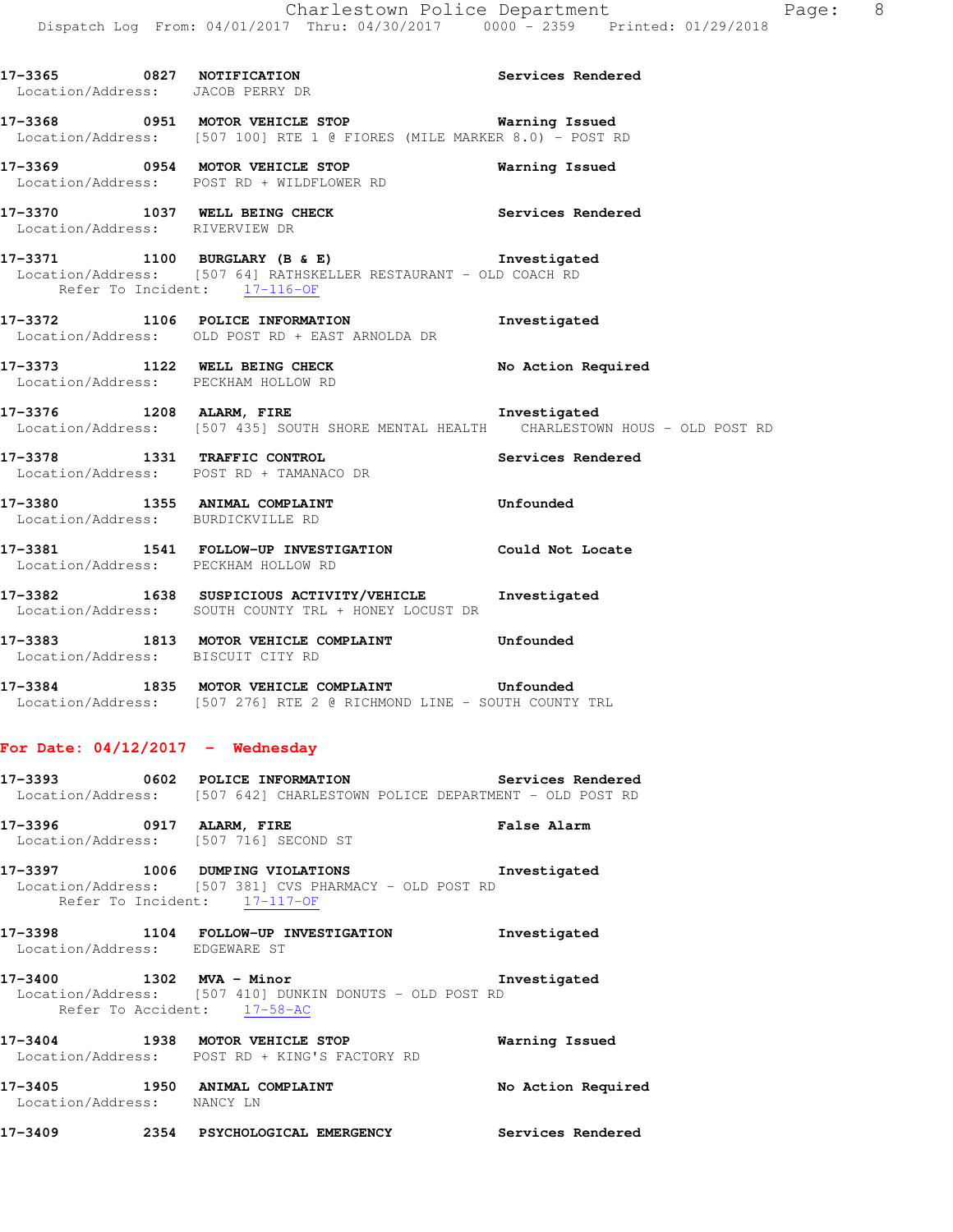| 17-3365 0827 NOTIFICATION<br>Location/Address: JACOB PERRY DR | Services Rendered                                                                                                                                   |                    |
|---------------------------------------------------------------|-----------------------------------------------------------------------------------------------------------------------------------------------------|--------------------|
|                                                               | 17-3368 6951 MOTOR VEHICLE STOP 1991 Marning Issued<br>Location/Address: [507 100] RTE 1 @ FIORES (MILE MARKER 8.0) - POST RD                       |                    |
|                                                               | 17-3369 0954 MOTOR VEHICLE STOP<br>Location/Address: POST RD + WILDFLOWER RD                                                                        | Warning Issued     |
| Location/Address: RIVERVIEW DR                                | 17-3370 1037 WELL BEING CHECK Services Rendered                                                                                                     |                    |
|                                                               | 17-3371 1100 BURGLARY (B & E) 1100 Threstigated<br>Location/Address: [507 64] RATHSKELLER RESTAURANT - OLD COACH RD<br>Refer To Incident: 17-116-OF |                    |
|                                                               | 17-3372 1106 POLICE INFORMATION 17-3372<br>Location/Address: OLD POST RD + EAST ARNOLDA DR                                                          |                    |
|                                                               | 17-3373 1122 WELL BEING CHECK<br>Location/Address: PECKHAM HOLLOW RD                                                                                | No Action Required |
|                                                               | 17-3376 1208 ALARM, FIRE 1999 11 208 11 208<br>Location/Address: [507 435] SOUTH SHORE MENTAL HEALTH CHARLESTOWN HOUS - OLD POST RD                 |                    |
|                                                               | 17-3378 1331 TRAFFIC CONTROL Services Rendered<br>Location/Address: POST RD + TAMANACO DR                                                           |                    |
|                                                               | 17-3380 1355 ANIMAL COMPLAINT<br>Location/Address: BURDICKVILLE RD                                                                                  | Unfounded          |
|                                                               | 17-3381 1541 FOLLOW-UP INVESTIGATION Could Not Locate<br>Location/Address: PECKHAM HOLLOW RD                                                        |                    |
|                                                               | 17-3382 1638 SUSPICIOUS ACTIVITY/VEHICLE Investigated<br>Location/Address: SOUTH COUNTY TRL + HONEY LOCUST DR                                       |                    |
| Location/Address: BISCUIT CITY RD                             | 17-3383 1813 MOTOR VEHICLE COMPLAINT                                                                                                                | Unfounded          |
|                                                               |                                                                                                                                                     |                    |

**17-3384 1835 MOTOR VEHICLE COMPLAINT Unfounded**  Location/Address: [507 276] RTE 2 @ RICHMOND LINE - SOUTH COUNTY TRL

#### **For Date: 04/12/2017 - Wednesday**

| 17–3393           |  | 0602 POLICE INFORMATION                               |  | Services Rendered |  |
|-------------------|--|-------------------------------------------------------|--|-------------------|--|
| Location/Address: |  | [507 642] CHARLESTOWN POLICE DEPARTMENT - OLD POST RD |  |                   |  |

**17-3396 0917 ALARM, FIRE False Alarm**  Location/Address: [507 716] SECOND ST

**17-3397 1006 DUMPING VIOLATIONS Investigated**  Location/Address: [507 381] CVS PHARMACY - OLD POST RD Refer To Incident: 17-117-OF

## **17-3398 1104 FOLLOW-UP INVESTIGATION Investigated**  Location/Address: EDGEWARE ST

**17-3400 1302 MVA - Minor Investigated**  Location/Address: [507 410] DUNKIN DONUTS - OLD POST RD Refer To Accident: 17-58-AC

**17-3404 1938 MOTOR VEHICLE STOP Warning Issued**  Location/Address: POST RD + KING'S FACTORY RD

**17-3405 1950 ANIMAL COMPLAINT No Action Required**  Location/Address: NANCY LN

**17-3409 2354 PSYCHOLOGICAL EMERGENCY Services Rendered**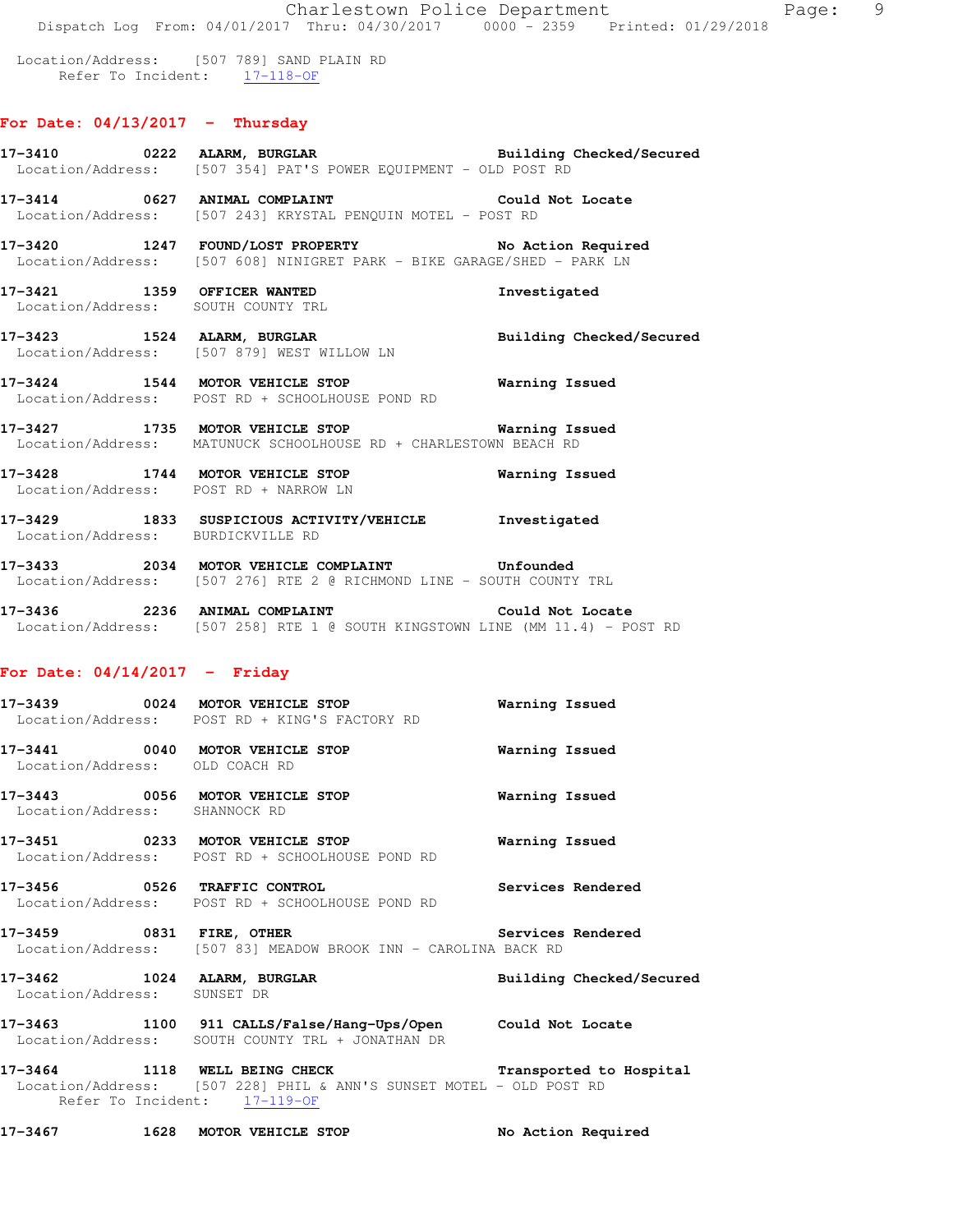Location/Address: [507 789] SAND PLAIN RD Refer To Incident: 17-118-OF

### **For Date: 04/13/2017 - Thursday**

|                                       | 17-3410       0222   ALARM, BURGLAR             Building Checked/Secured<br>Location/Address: [507 354] PAT'S POWER EQUIPMENT - OLD POST RD |                       |
|---------------------------------------|---------------------------------------------------------------------------------------------------------------------------------------------|-----------------------|
|                                       | 17-3414 0627 ANIMAL COMPLAINT COMPRESSES Could Not Locate<br>Location/Address: [507 243] KRYSTAL PENQUIN MOTEL - POST RD                    |                       |
|                                       | 17-3420 1247 FOUND/LOST PROPERTY No Action Required<br>Location/Address: [507 608] NINIGRET PARK - BIKE GARAGE/SHED - PARK LN               |                       |
| Location/Address: SOUTH COUNTY TRL    | 17-3421 1359 OFFICER WANTED                                                                                                                 | Investigated          |
|                                       | 17-3423 1524 ALARM, BURGLAR 1988 1991 Building Checked/Secured<br>Location/Address: [507 879] WEST WILLOW LN                                |                       |
|                                       | 17-3424 1544 MOTOR VEHICLE STOP <b>STOP</b> Warning Issued<br>Location/Address: POST RD + SCHOOLHOUSE POND RD                               |                       |
|                                       | 17-3427 1735 MOTOR VEHICLE STOP 1990 Warning Issued<br>Location/Address: MATUNUCK SCHOOLHOUSE RD + CHARLESTOWN BEACH RD                     |                       |
| Location/Address: POST RD + NARROW LN | 17-3428 1744 MOTOR VEHICLE STOP                                                                                                             | <b>Warning Issued</b> |
| Location/Address: BURDICKVILLE RD     | 17-3429 1833 SUSPICIOUS ACTIVITY/VEHICLE Investigated                                                                                       |                       |
|                                       | 17-3433 2034 MOTOR VEHICLE COMPLAINT Confounded                                                                                             |                       |

Location/Address: [507 276] RTE 2 @ RICHMOND LINE - SOUTH COUNTY TRL

**17-3436 2236 ANIMAL COMPLAINT Could Not Locate**  Location/Address: [507 258] RTE 1 @ SOUTH KINGSTOWN LINE (MM 11.4) - POST RD

#### **For Date: 04/14/2017 - Friday**

|                                | 17-3439 0024 MOTOR VEHICLE STOP<br>Location/Address: POST RD + KING'S FACTORY RD                                                                               | Warning Issued           |
|--------------------------------|----------------------------------------------------------------------------------------------------------------------------------------------------------------|--------------------------|
| Location/Address: OLD COACH RD |                                                                                                                                                                |                          |
| Location/Address: SHANNOCK RD  |                                                                                                                                                                |                          |
|                                | 17-3451 6233 MOTOR VEHICLE STOP 6 Warning Issued<br>Location/Address: POST RD + SCHOOLHOUSE POND RD                                                            |                          |
| 17-3456 0526 TRAFFIC CONTROL   | Location/Address: POST RD + SCHOOLHOUSE POND RD                                                                                                                | Services Rendered        |
|                                | 17-3459 		 0831 FIRE, OTHER 		 Services Rendered<br>Location/Address: [507 83] MEADOW BROOK INN - CAROLINA BACK RD                                             |                          |
| Location/Address: SUNSET DR    | 17-3462 1024 ALARM, BURGLAR                                                                                                                                    | Building Checked/Secured |
|                                | 17-3463 1100 911 CALLS/False/Hang-Ups/Open Could Not Locate<br>Location/Address: SOUTH COUNTY TRL + JONATHAN DR                                                |                          |
|                                | 17-3464 1118 WELL BEING CHECK Transported to Hospital<br>  Location/Address: [507 228] PHIL & ANN'S SUNSET MOTEL - OLD POST RD<br>Refer To Incident: 17-119-OF |                          |

**17-3467 1628 MOTOR VEHICLE STOP No Action Required**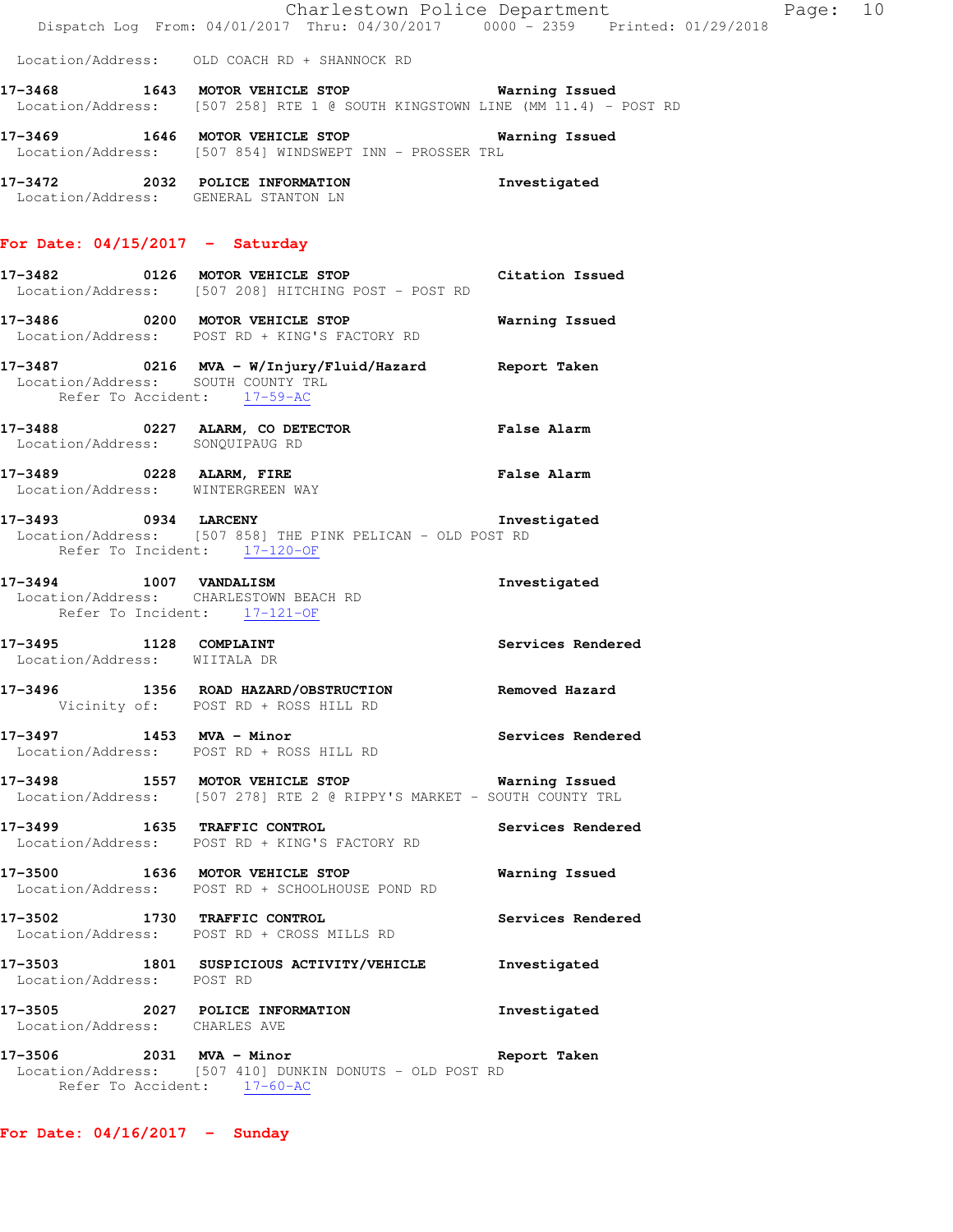|  |                                                                                | Charlestown Police Department |  |  | Page: 10 |  |
|--|--------------------------------------------------------------------------------|-------------------------------|--|--|----------|--|
|  | Dispatch Log From: 04/01/2017 Thru: 04/30/2017 0000 - 2359 Printed: 01/29/2018 |                               |  |  |          |  |

Location/Address: OLD COACH RD + SHANNOCK RD

**17-3468 1643 MOTOR VEHICLE STOP Warning Issued**  Location/Address: [507 258] RTE 1 @ SOUTH KINGSTOWN LINE (MM 11.4) - POST RD

**17-3469 1646 MOTOR VEHICLE STOP Warning Issued**  Location/Address: [507 854] WINDSWEPT INN - PROSSER TRL

**17-3472 2032 POLICE INFORMATION Investigated**  Location/Address: GENERAL STANTON LN

#### **For Date: 04/15/2017 - Saturday**

- **17-3482 0126 MOTOR VEHICLE STOP Citation Issued**  Location/Address: [507 208] HITCHING POST - POST RD
- **17-3486 0200 MOTOR VEHICLE STOP Warning Issued**  Location/Address: POST RD + KING'S FACTORY RD
- **17-3487 0216 MVA W/Injury/Fluid/Hazard Report Taken**  Location/Address: SOUTH COUNTY TRL Refer To Accident: 17-59-AC
- **17-3488 0227 ALARM, CO DETECTOR False Alarm**  Location/Address: SONQUIPAUG RD **17-3489 0228 ALARM, FIRE False Alarm**
- Location/Address: WINTERGREEN WAY
- **17-3493 0934 LARCENY Investigated**  Location/Address: [507 858] THE PINK PELICAN - OLD POST RD Refer To Incident: 17-120-OF
- **17-3494 1007 VANDALISM Investigated**  Location/Address: CHARLESTOWN BEACH RD Refer To Incident: 17-121-OF
- **17-3495 1128 COMPLAINT Services Rendered**  Location/Address: WIITALA DR
- **17-3496 1356 ROAD HAZARD/OBSTRUCTION Removed Hazard**  Vicinity of: POST RD + ROSS HILL RD
- **17-3497 1453 MVA Minor Services Rendered**  Location/Address: POST RD + ROSS HILL RD
- **17-3498 1557 MOTOR VEHICLE STOP Warning Issued**  Location/Address: [507 278] RTE 2 @ RIPPY'S MARKET - SOUTH COUNTY TRL
- **17-3499 1635 TRAFFIC CONTROL Services Rendered**  Location/Address: POST RD + KING'S FACTORY RD
- **17-3500 1636 MOTOR VEHICLE STOP Warning Issued**  Location/Address: POST RD + SCHOOLHOUSE POND RD
- **17-3502 1730 TRAFFIC CONTROL Services Rendered**  Location/Address: POST RD + CROSS MILLS RD
- **17-3503 1801 SUSPICIOUS ACTIVITY/VEHICLE Investigated**  Location/Address: POST RD
- **17-3505 2027 POLICE INFORMATION Investigated**  Location/Address: CHARLES AVE
- **17-3506 2031 MVA Minor Report Taken**  Location/Address: [507 410] DUNKIN DONUTS - OLD POST RD Refer To Accident: 17-60-AC

**For Date: 04/16/2017 - Sunday**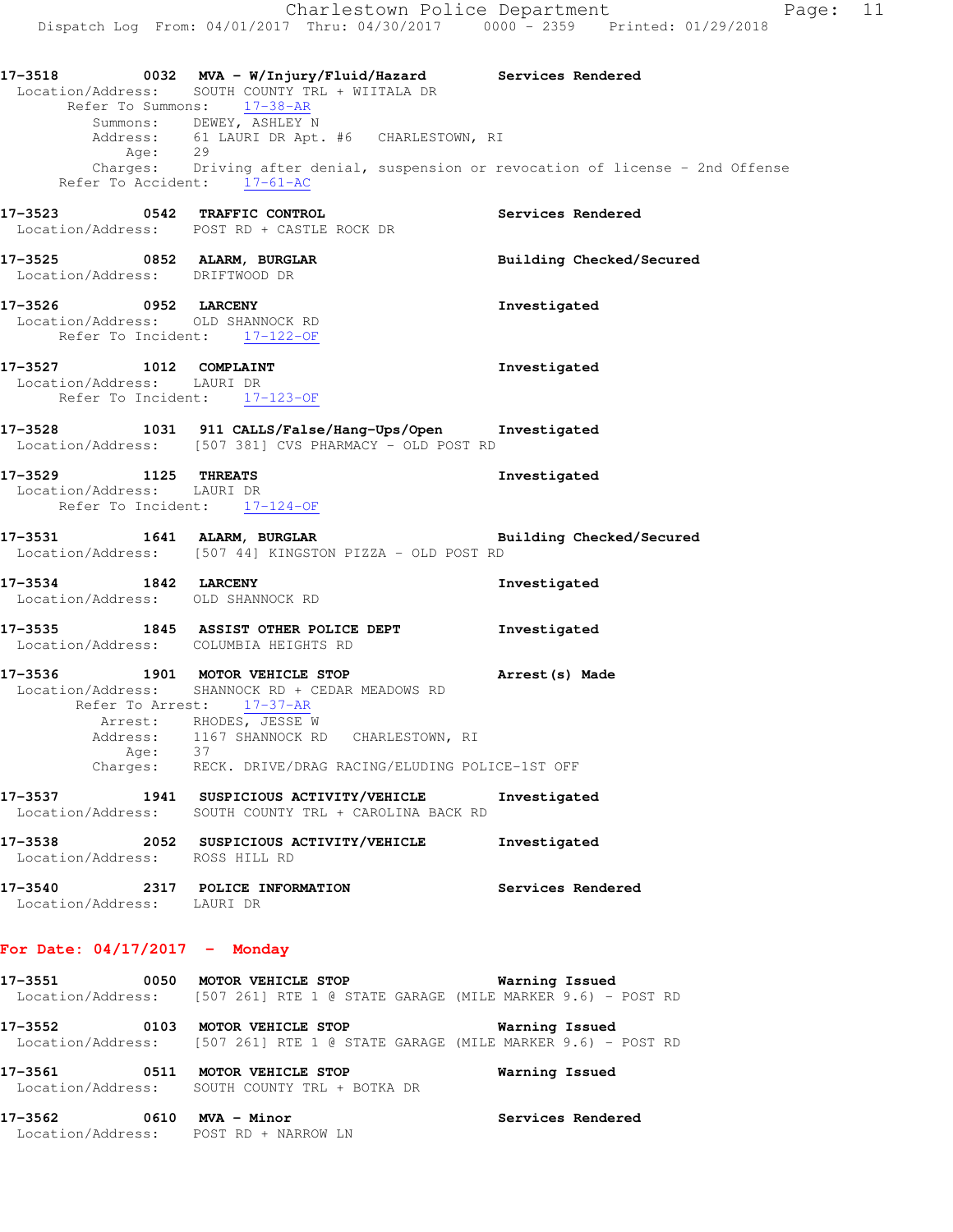|                                                                                | Refer To Summons: 17-38-AR                           | 17-3518 		 0032 MVA - W/Injury/Fluid/Hazard Services Rendered<br>Location/Address: SOUTH COUNTY TRL + WIITALA DR                 |                                                                                             |
|--------------------------------------------------------------------------------|------------------------------------------------------|----------------------------------------------------------------------------------------------------------------------------------|---------------------------------------------------------------------------------------------|
|                                                                                | Summons: DEWEY, ASHLEY N                             | Address: 61 LAURI DR Apt. #6 CHARLESTOWN, RI                                                                                     |                                                                                             |
|                                                                                | Refer To Accident: 17-61-AC                          |                                                                                                                                  | Age: 29<br>Charges: Driving after denial, suspension or revocation of license - 2nd Offense |
| 17-3523 0542 TRAFFIC CONTROL<br>Location/Address: POST RD + CASTLE ROCK DR     |                                                      |                                                                                                                                  | Services Rendered                                                                           |
| 17-3525 0852 ALARM, BURGLAR<br>Location/Address: DRIFTWOOD DR                  |                                                      |                                                                                                                                  | Building Checked/Secured                                                                    |
| 17-3526 0952 LARCENY<br>Location/Address: OLD SHANNOCK RD                      | Refer To Incident: 17-122-OF                         |                                                                                                                                  | Investigated                                                                                |
| 17-3527 1012 COMPLAINT<br>Location/Address: LAURI DR                           | Refer To Incident: 17-123-OF                         |                                                                                                                                  | Investigated                                                                                |
|                                                                                |                                                      | 17-3528 1031 911 CALLS/False/Hang-Ups/Open Investigated<br>Location/Address: [507 381] CVS PHARMACY - OLD POST RD                |                                                                                             |
| 17-3529 1125 THREATS<br>Location/Address: LAURI DR                             | Refer To Incident: 17-124-OF                         |                                                                                                                                  | Investigated                                                                                |
| 17-3531 1641 ALARM, BURGLAR                                                    |                                                      | Location/Address: [507 44] KINGSTON PIZZA - OLD POST RD                                                                          | Building Checked/Secured                                                                    |
| 17-3534 1842 LARCENY<br>Location/Address: OLD SHANNOCK RD                      |                                                      |                                                                                                                                  | Investigated                                                                                |
| 17-3535 1845 ASSIST OTHER POLICE DEPT<br>Location/Address: COLUMBIA HEIGHTS RD |                                                      |                                                                                                                                  | Investigated                                                                                |
|                                                                                | Refer To Arrest: 17-37-AR<br>Arrest: RHODES, JESSE W | 17-3536 1901 MOTOR VEHICLE STOP<br>Location/Address: SHANNOCK RD + CEDAR MEADOWS RD<br>Address: 1167 SHANNOCK RD CHARLESTOWN, RI | Arrest (s) Made                                                                             |
| Aqe:                                                                           | 37                                                   | Charges: RECK. DRIVE/DRAG RACING/ELUDING POLICE-1ST OFF                                                                          |                                                                                             |
| 17-3537<br>Location/Address:                                                   |                                                      | 1941 SUSPICIOUS ACTIVITY/VEHICLE<br>SOUTH COUNTY TRL + CAROLINA BACK RD                                                          | Investigated                                                                                |
| 17-3538<br>Location/Address: ROSS HILL RD                                      |                                                      | 2052 SUSPICIOUS ACTIVITY/VEHICLE                                                                                                 | Investigated                                                                                |
| 17-3540 2317 POLICE INFORMATION<br>Location/Address: LAURI DR                  |                                                      |                                                                                                                                  | Services Rendered                                                                           |
|                                                                                |                                                      |                                                                                                                                  |                                                                                             |

## **For Date: 04/17/2017 - Monday**

**17-3551 0050 MOTOR VEHICLE STOP Warning Issued**  Location/Address: [507 261] RTE 1 @ STATE GARAGE (MILE MARKER 9.6) - POST RD **17-3552 0103 MOTOR VEHICLE STOP Warning Issued**  Location/Address: [507 261] RTE 1 @ STATE GARAGE (MILE MARKER 9.6) - POST RD **17-3561 0511 MOTOR VEHICLE STOP Warning Issued**  Location/Address: SOUTH COUNTY TRL + BOTKA DR

**17-3562 0610 MVA - Minor Services Rendered**  Location/Address: POST RD + NARROW LN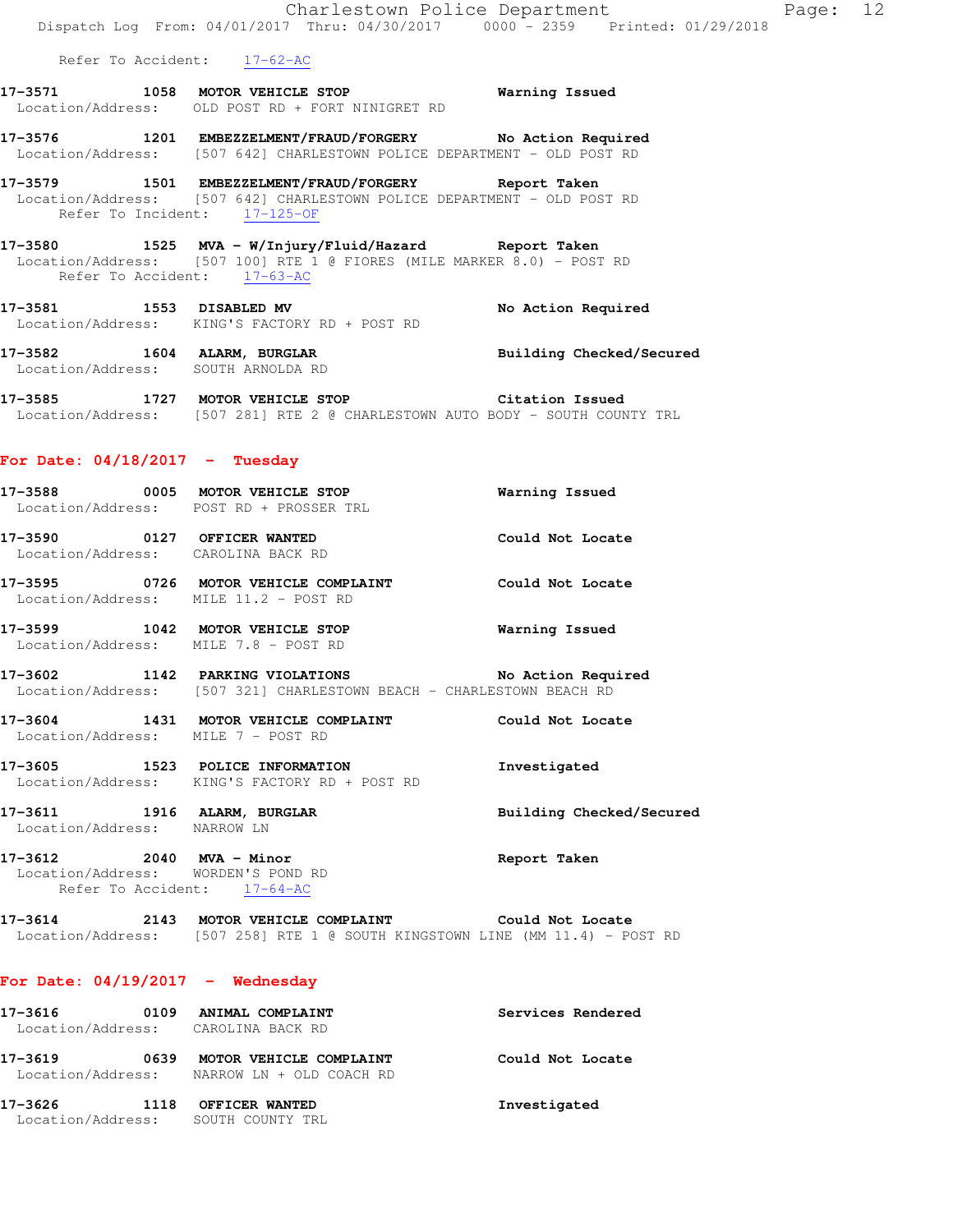|                                         | Dispatch Log From: 04/01/2017 Thru: 04/30/2017 0000 - 2359 Printed: 01/29/2018                                                         | Charlestown Police Department | Page: 12 |  |
|-----------------------------------------|----------------------------------------------------------------------------------------------------------------------------------------|-------------------------------|----------|--|
| Refer To Accident: 17-62-AC             |                                                                                                                                        |                               |          |  |
|                                         | 17-3571 1058 MOTOR VEHICLE STOP <b>Warning Issued</b><br>Location/Address: OLD POST RD + FORT NINIGRET RD                              |                               |          |  |
|                                         | 17-3576 1201 EMBEZZELMENT/FRAUD/FORGERY No Action Required<br>Location/Address: [507 642] CHARLESTOWN POLICE DEPARTMENT - OLD POST RD  |                               |          |  |
| Refer To Incident: 17-125-OF            | 17-3579 1501 EMBEZZELMENT/FRAUD/FORGERY Report Taken<br>Location/Address: [507 642] CHARLESTOWN POLICE DEPARTMENT - OLD POST RD        |                               |          |  |
| Refer To Accident: 17-63-AC             | Location/Address: [507 100] RTE 1 @ FIORES (MILE MARKER 8.0) - POST RD                                                                 |                               |          |  |
|                                         | 17-3581 1553 DISABLED MV<br>Location/Address: KING'S FACTORY RD + POST RD                                                              | No Action Required            |          |  |
| Location/Address: SOUTH ARNOLDA RD      | 17-3582 1604 ALARM, BURGLAR                                                                                                            | Building Checked/Secured      |          |  |
|                                         | 17-3585 1727 MOTOR VEHICLE STOP <b>Citation Issued</b><br>Location/Address: [507 281] RTE 2 @ CHARLESTOWN AUTO BODY - SOUTH COUNTY TRL |                               |          |  |
| For Date: $04/18/2017 -$ Tuesday        |                                                                                                                                        |                               |          |  |
| Location/Address: POST RD + PROSSER TRL | 17-3588 0005 MOTOR VEHICLE STOP                                                                                                        | Warning Issued                |          |  |
| Location/Address: CAROLINA BACK RD      | 17-3590 0127 OFFICER WANTED Could Not Locate                                                                                           |                               |          |  |
| Location/Address: MILE 11.2 - POST RD   |                                                                                                                                        |                               |          |  |

**17-3599 1042 MOTOR VEHICLE STOP Warning Issued**  Location/Address: MILE 7.8 - POST RD

**17-3602 1142 PARKING VIOLATIONS No Action Required**  Location/Address: [507 321] CHARLESTOWN BEACH - CHARLESTOWN BEACH RD

**17-3604 1431 MOTOR VEHICLE COMPLAINT Could Not Locate**  Location/Address: MILE 7 - POST RD

**17-3605 1523 POLICE INFORMATION Investigated**  Location/Address: KING'S FACTORY RD + POST RD

**17-3611 1916 ALARM, BURGLAR Building Checked/Secured**  Location/Address: NARROW LN

**17-3612 2040 MVA - Minor Report Taken**  Location/Address: WORDEN'S POND RD Refer To Accident: 17-64-AC

**17-3614 2143 MOTOR VEHICLE COMPLAINT Could Not Locate**  Location/Address: [507 258] RTE 1 @ SOUTH KINGSTOWN LINE (MM 11.4) - POST RD

#### **For Date: 04/19/2017 - Wednesday**

| 17-3616                      | 0109 | ANIMAL COMPLAINT<br>Location/Address: CAROLINA BACK RD | Services Rendered |
|------------------------------|------|--------------------------------------------------------|-------------------|
| 17-3619<br>Location/Address: | 0639 | MOTOR VEHICLE COMPLAINT<br>NARROW LN + OLD COACH RD    | Could Not Locate  |
| 17-3626<br>Location/Address: | 1118 | OFFICER WANTED<br>SOUTH COUNTY TRI.                    | Investigated      |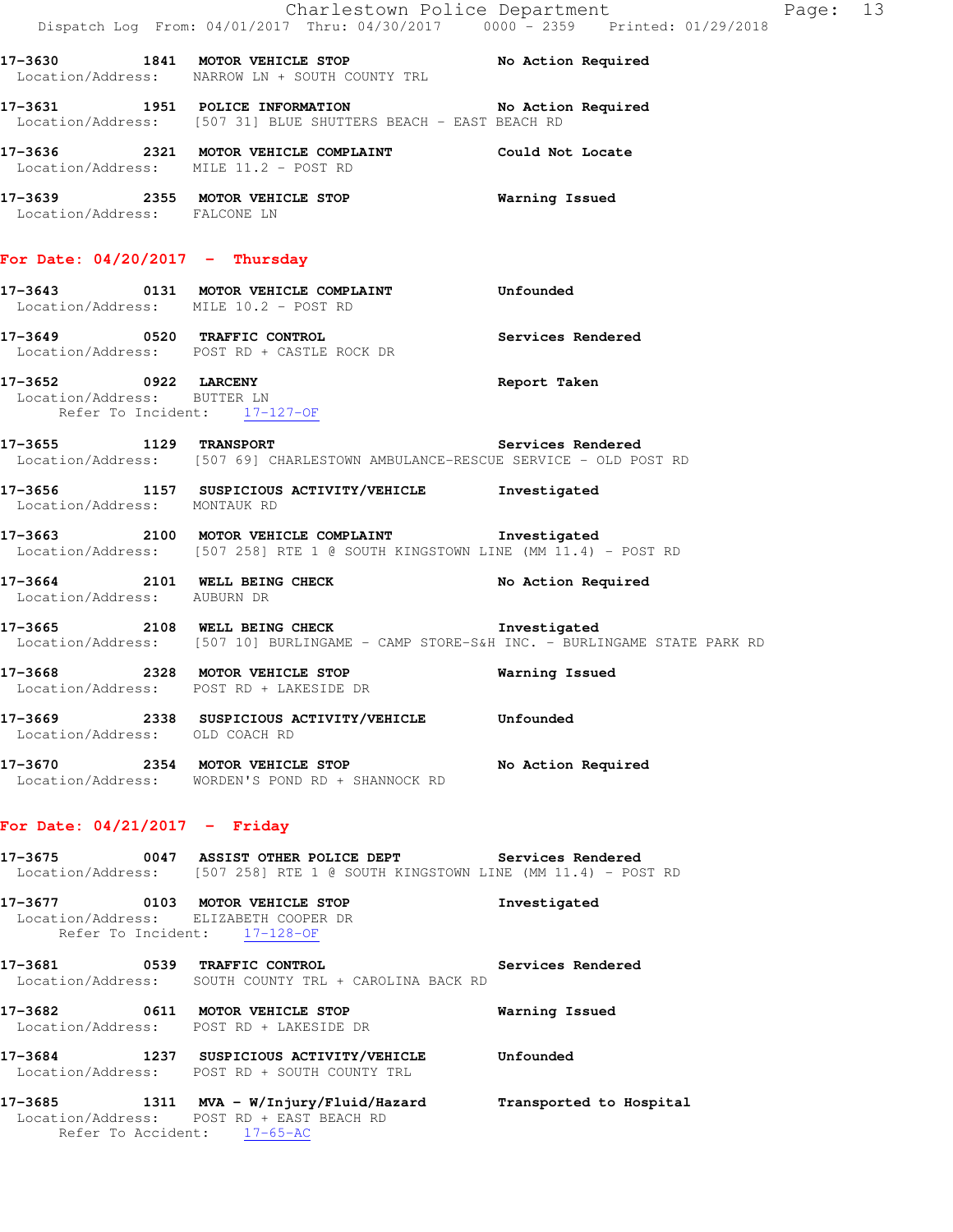|                                                                                     | Dispatch Log From: 04/01/2017 Thru: 04/30/2017 0000 <sup>-</sup> 2359 Printed: 01/29/2018                                               | Charlestown Police Department | Page: 13 |  |
|-------------------------------------------------------------------------------------|-----------------------------------------------------------------------------------------------------------------------------------------|-------------------------------|----------|--|
|                                                                                     | 17-3630 1841 MOTOR VEHICLE STOP No Action Required<br>Location/Address: NARROW LN + SOUTH COUNTY TRL                                    |                               |          |  |
|                                                                                     | 17-3631 1951 POLICE INFORMATION No Action Required<br>Location/Address: [507 31] BLUE SHUTTERS BEACH - EAST BEACH RD                    |                               |          |  |
| Location/Address: MILE 11.2 - POST RD                                               | 17-3636 2321 MOTOR VEHICLE COMPLAINT Could Not Locate                                                                                   |                               |          |  |
| Location/Address: FALCONE LN                                                        | 17-3639 2355 MOTOR VEHICLE STOP 6 Warning Issued                                                                                        |                               |          |  |
| For Date: $04/20/2017$ - Thursday                                                   |                                                                                                                                         |                               |          |  |
| Location/Address: MILE 10.2 - POST RD                                               | 17-3643 0131 MOTOR VEHICLE COMPLAINT Unfounded                                                                                          |                               |          |  |
|                                                                                     | 17-3649 0520 TRAFFIC CONTROL<br>Location/Address: POST RD + CASTLE ROCK DR                                                              | Services Rendered             |          |  |
| 17-3652 0922 LARCENY<br>Location/Address: BUTTER LN<br>Refer To Incident: 17-127-OF |                                                                                                                                         | Report Taken                  |          |  |
| 17-3655 1129 TRANSPORT                                                              | Location/Address: [507 69] CHARLESTOWN AMBULANCE-RESCUE SERVICE - OLD POST RD                                                           | Services Rendered             |          |  |
| Location/Address: MONTAUK RD                                                        | 17-3656 1157 SUSPICIOUS ACTIVITY/VEHICLE Investigated                                                                                   |                               |          |  |
|                                                                                     | 17-3663 2100 MOTOR VEHICLE COMPLAINT Threstigated<br>Location/Address: [507 258] RTE 1 @ SOUTH KINGSTOWN LINE (MM 11.4) - POST RD       |                               |          |  |
| Location/Address: AUBURN DR                                                         | 17-3664 2101 WELL BEING CHECK                                                                                                           | No Action Required            |          |  |
|                                                                                     | 17-3665 2108 WELL BEING CHECK 1nvestigated<br>Location/Address: [507 10] BURLINGAME - CAMP STORE-S&H INC. - BURLINGAME STATE PARK RD    |                               |          |  |
|                                                                                     | 17-3668 2328 MOTOR VEHICLE STOP<br>Location/Address: POST RD + LAKESIDE DR                                                              | Warning Issued                |          |  |
| Location/Address: OLD COACH RD                                                      | 17-3669 2338 SUSPICIOUS ACTIVITY/VEHICLE Unfounded                                                                                      |                               |          |  |
|                                                                                     | 17-3670 2354 MOTOR VEHICLE STOP<br>Location/Address: WORDEN'S POND RD + SHANNOCK RD                                                     | No Action Required            |          |  |
| For Date: $04/21/2017 -$ Friday                                                     |                                                                                                                                         |                               |          |  |
|                                                                                     | 17-3675 0047 ASSIST OTHER POLICE DEPT Services Rendered<br>Location/Address: [507 258] RTE 1 @ SOUTH KINGSTOWN LINE (MM 11.4) - POST RD |                               |          |  |
| Refer To Incident: 17-128-OF                                                        | 17-3677 0103 MOTOR VEHICLE STOP<br>Location/Address: ELIZABETH COOPER DR                                                                | Investigated                  |          |  |
|                                                                                     | 17-3681 0539 TRAFFIC CONTROL 2000 Services Rendered<br>Location/Address: SOUTH COUNTY TRL + CAROLINA BACK RD                            |                               |          |  |
|                                                                                     | 17-3682 0611 MOTOR VEHICLE STOP<br>Location/Address: POST RD + LAKESIDE DR                                                              | Warning Issued                |          |  |
|                                                                                     | 17-3684 1237 SUSPICIOUS ACTIVITY/VEHICLE<br>Location/Address: POST RD + SOUTH COUNTY TRL                                                | Unfounded                     |          |  |
|                                                                                     | 17-3685 1311 MVA - W/Injury/Fluid/Hazard Transported to Hospital                                                                        |                               |          |  |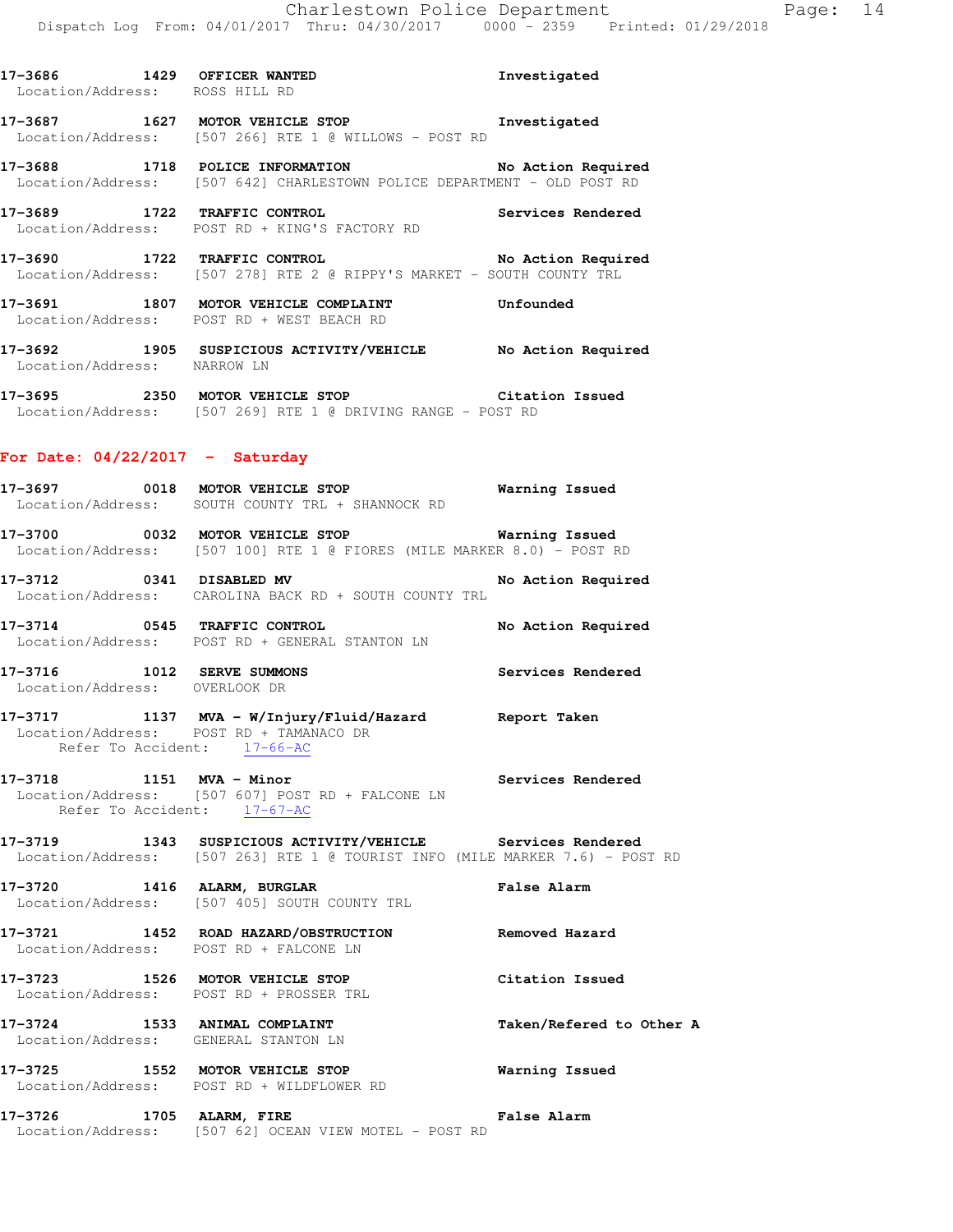| Location/Address: ROSS HILL RD |                                                                                                                                            |                    |
|--------------------------------|--------------------------------------------------------------------------------------------------------------------------------------------|--------------------|
|                                | 17-3687 1627 MOTOR VEHICLE STOP <b>Investigated</b><br>Location/Address: [507 266] RTE 1 @ WILLOWS - POST RD                               |                    |
|                                | 17-3688 1718 POLICE INFORMATION No Action Required<br>Location/Address: [507 642] CHARLESTOWN POLICE DEPARTMENT - OLD POST RD              |                    |
|                                | 17-3689 1722 TRAFFIC CONTROL<br>Location/Address: POST RD + KING'S FACTORY RD                                                              | Services Rendered  |
|                                | 17-3690 1722 TRAFFIC CONTROL No Action Required<br>Location/Address: [507 278] RTE 2 @ RIPPY'S MARKET - SOUTH COUNTY TRL                   |                    |
|                                | 17-3691 1807 MOTOR VEHICLE COMPLAINT Unfounded<br>Location/Address: POST RD + WEST BEACH RD                                                |                    |
| Location/Address: NARROW LN    | 17-3692 1905 SUSPICIOUS ACTIVITY/VEHICLE No Action Required                                                                                |                    |
|                                | 17-3695 2350 MOTOR VEHICLE STOP Citation Issued<br>Location/Address: [507 269] RTE 1 @ DRIVING RANGE - POST RD                             |                    |
|                                | For Date: $04/22/2017 -$ Saturday                                                                                                          |                    |
|                                | 17-3697 0018 MOTOR VEHICLE STOP Warning Issued<br>Location/Address: SOUTH COUNTY TRL + SHANNOCK RD                                         |                    |
|                                | 17-3700 0032 MOTOR VEHICLE STOP Warning Issued<br>Location/Address: [507 100] RTE 1 @ FIORES (MILE MARKER 8.0) - POST RD                   |                    |
| 17-3712 0341 DISABLED MV       | Location/Address: CAROLINA BACK RD + SOUTH COUNTY TRL                                                                                      | No Action Required |
|                                | 17-3714      0545   TRAFFIC CONTROL<br>Location/Address:   POST RD + GENERAL STANTON LN                                                    | No Action Required |
| Location/Address: OVERLOOK DR  | 17-3716 1012 SERVE SUMMONS                                                                                                                 | Services Rendered  |
|                                | 17-3717 1137 MVA - W/Injury/Fluid/Hazard Report Taken<br>Location/Address: POST RD + TAMANACO DR<br>Refer To Accident: 17-66-AC            |                    |
| 17-3718 1151 MVA - Minor       | Location/Address: [507 607] POST RD + FALCONE LN<br>Refer To Accident: 17-67-AC                                                            | Services Rendered  |
|                                | 17-3719 1343 SUSPICIOUS ACTIVITY/VEHICLE Services Rendered<br>Location/Address: [507 263] RTE 1 @ TOURIST INFO (MILE MARKER 7.6) - POST RD |                    |
|                                | 17-3720 1416 ALARM, BURGLAR<br>Location/Address: [507 405] SOUTH COUNTY TRL                                                                | False Alarm        |
|                                | 17-3721 1452 ROAD HAZARD/OBSTRUCTION<br>Location/Address: POST RD + FALCONE LN                                                             | Removed Hazard     |
| $- - - - -$                    |                                                                                                                                            |                    |

**17-3686 1429 OFFICER WANTED Investigated** 

**17-3723 1526 MOTOR VEHICLE STOP Citation Issued**  Location/Address: POST RD + PROSSER TRL **17-3724 1533 ANIMAL COMPLAINT Taken/Refered to Other A**  Location/Address: GENERAL STANTON LN **17-3725 1552 MOTOR VEHICLE STOP Warning Issued** 

Location/Address: POST RD + WILDFLOWER RD

**17-3726 1705 ALARM, FIRE False Alarm**  Location/Address: [507 62] OCEAN VIEW MOTEL - POST RD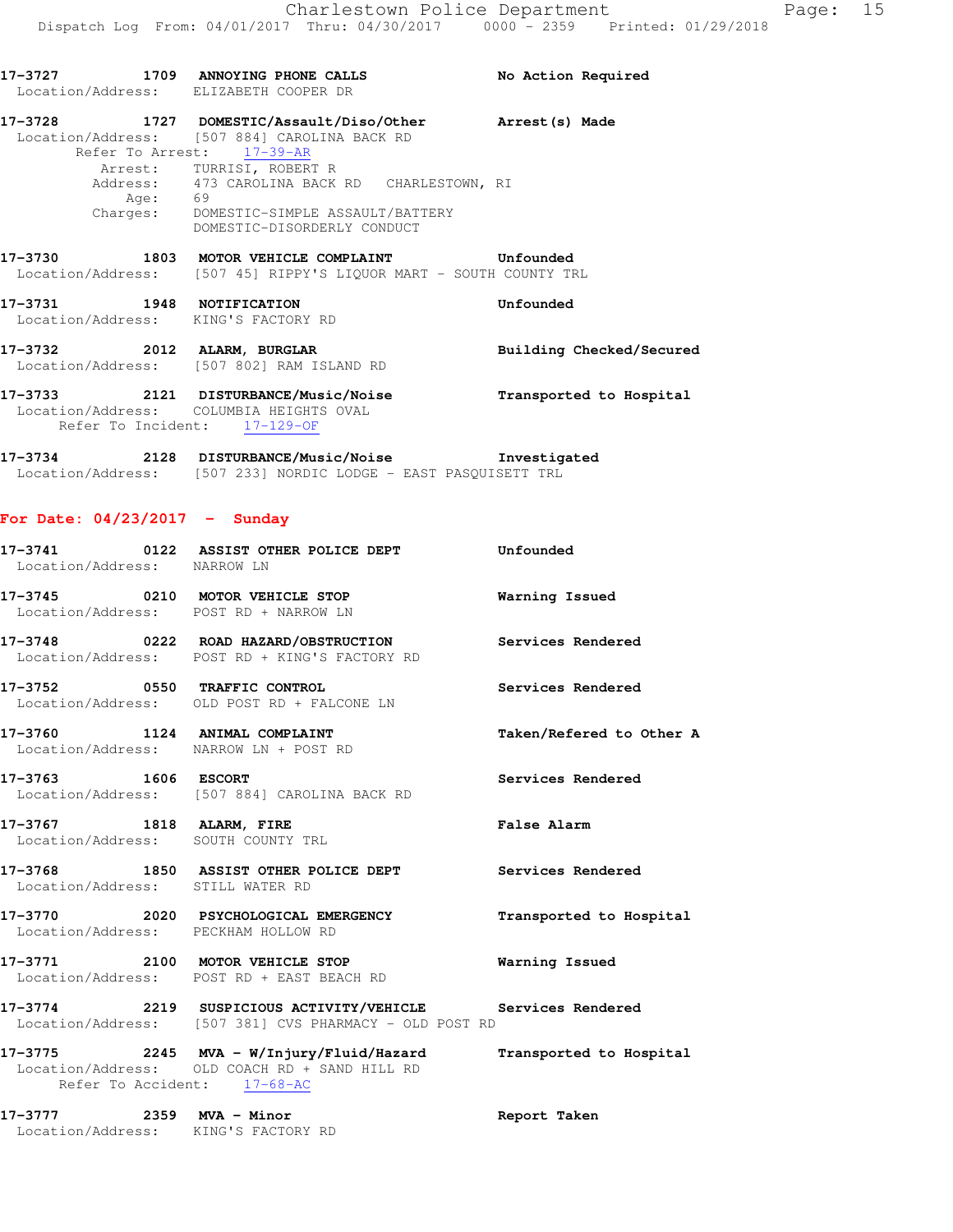| Location/Address: ELIZABETH COOPER DR                                   | 17-3727 1709 ANNOYING PHONE CALLS                                                                                                                     | No Action Required       |
|-------------------------------------------------------------------------|-------------------------------------------------------------------------------------------------------------------------------------------------------|--------------------------|
|                                                                         | 17-3728 1727 DOMESTIC/Assault/Diso/Other Arrest(s) Made<br>Location/Address: [507 884] CAROLINA BACK RD<br>Refer To Arrest: 17-39-AR                  |                          |
| Age: 69                                                                 | Arrest: TURRISI, ROBERT R<br>Address: 473 CAROLINA BACK RD CHARLESTOWN, RI<br>Charges: DOMESTIC-SIMPLE ASSAULT/BATTERY<br>DOMESTIC-DISORDERLY CONDUCT |                          |
|                                                                         | Location/Address: [507 45] RIPPY'S LIQUOR MART - SOUTH COUNTY TRL                                                                                     |                          |
| 17-3731 1948 NOTIFICATION<br>Location/Address: KING'S FACTORY RD        |                                                                                                                                                       | Unfounded                |
| 17-3732 2012 ALARM, BURGLAR                                             | Location/Address: [507 802] RAM ISLAND RD                                                                                                             | Building Checked/Secured |
| Location/Address: COLUMBIA HEIGHTS OVAL<br>Refer To Incident: 17-129-OF | 17-3733 2121 DISTURBANCE/Music/Noise                                                                                                                  | Transported to Hospital  |

**17-3734 2128 DISTURBANCE/Music/Noise Investigated**  Location/Address: [507 233] NORDIC LODGE - EAST PASQUISETT TRL

## **For Date: 04/23/2017 - Sunday**

| Location/Address: NARROW LN                                     | 17-3741 0122 ASSIST OTHER POLICE DEPT Unfounded                                                                      |                          |
|-----------------------------------------------------------------|----------------------------------------------------------------------------------------------------------------------|--------------------------|
|                                                                 | 17-3745 0210 MOTOR VEHICLE STOP <b>Warning Issued</b><br>Location/Address: POST RD + NARROW LN                       |                          |
|                                                                 | 17-3748 0222 ROAD HAZARD/OBSTRUCTION Services Rendered<br>Location/Address: POST RD + KING'S FACTORY RD              |                          |
|                                                                 | 17-3752 0550 TRAFFIC CONTROL<br>Location/Address: OLD POST RD + FALCONE LN                                           | Services Rendered        |
| Location/Address: NARROW LN + POST RD                           | 17-3760 1124 ANIMAL COMPLAINT                                                                                        | Taken/Refered to Other A |
| 17-3763 1606 ESCORT                                             | Location/Address: [507 884] CAROLINA BACK RD                                                                         | Services Rendered        |
| 17-3767 1818 ALARM, FIRE<br>Location/Address: SOUTH COUNTY TRL  |                                                                                                                      | <b>False Alarm</b>       |
| Location/Address: STILL WATER RD                                | 17-3768 1850 ASSIST OTHER POLICE DEPT Services Rendered                                                              |                          |
| Location/Address: PECKHAM HOLLOW RD                             | 17-3770 2020 PSYCHOLOGICAL EMERGENCY Transported to Hospital                                                         |                          |
|                                                                 | 17-3771 2100 MOTOR VEHICLE STOP<br>Location/Address: POST RD + EAST BEACH RD                                         | <b>Warning Issued</b>    |
|                                                                 | 17-3774 2219 SUSPICIOUS ACTIVITY/VEHICLE Services Rendered<br>Location/Address: [507 381] CVS PHARMACY - OLD POST RD |                          |
| Refer To Accident: 17-68-AC                                     | 17-3775 2245 MVA - W/Injury/Fluid/Hazard Transported to Hospital<br>Location/Address: OLD COACH RD + SAND HILL RD    |                          |
| 17-3777 2359 MVA - Minor<br>Location/Address: KING'S FACTORY RD |                                                                                                                      | Report Taken             |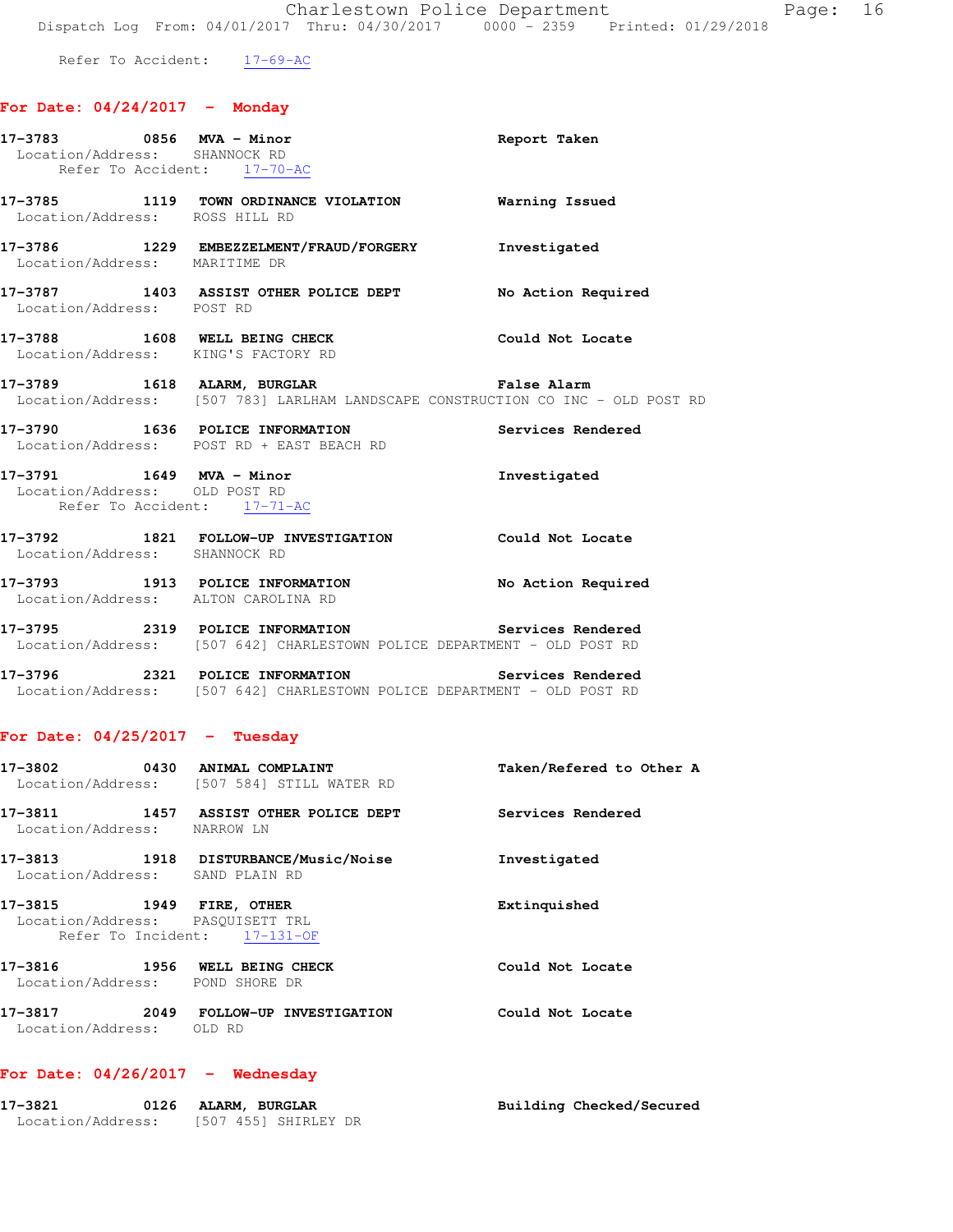Refer To Accident: 17-69-AC

# **For Date: 04/24/2017 - Monday**

| 17-3783 0856 MVA - Minor<br>Location/Address: SHANNOCK RD<br>Refer To Accident: 17-70-AC |                                                                                                                              | Report Taken             |
|------------------------------------------------------------------------------------------|------------------------------------------------------------------------------------------------------------------------------|--------------------------|
| Location/Address: ROSS HILL RD                                                           | 17-3785 1119 TOWN ORDINANCE VIOLATION Warning Issued                                                                         |                          |
|                                                                                          | 17-3786 1229 EMBEZZELMENT/FRAUD/FORGERY Investigated<br>Location/Address: MARITIME DR                                        |                          |
| Location/Address: POST RD                                                                | 17-3787 1403 ASSIST OTHER POLICE DEPT No Action Required                                                                     |                          |
| Location/Address: KING'S FACTORY RD                                                      | 17-3788 1608 WELL BEING CHECK                                                                                                | Could Not Locate         |
|                                                                                          | 17-3789 1618 ALARM, BURGLAR<br>Location/Address: [507 783] LARLHAM LANDSCAPE CONSTRUCTION CO INC - OLD POST RD               | False Alarm              |
|                                                                                          | 17-3790   1636   POLICE INFORMATION   Services Rendered Location/Address:   POST RD + EAST BEACH RD                          |                          |
| 17-3791 1649 MVA - Minor<br>Location/Address: OLD POST RD<br>Refer To Accident: 17-71-AC |                                                                                                                              | Investigated             |
| Location/Address: SHANNOCK RD                                                            | 17-3792 1821 FOLLOW-UP INVESTIGATION Could Not Locate                                                                        |                          |
|                                                                                          | 17-3793 1913 POLICE INFORMATION No Action Required<br>Location/Address: ALTON CAROLINA RD                                    |                          |
|                                                                                          | 17-3795 2319 POLICE INFORMATION Services Rendered<br>Location/Address: [507 642] CHARLESTOWN POLICE DEPARTMENT - OLD POST RD |                          |
|                                                                                          | 17-3796 2321 POLICE INFORMATION Services Rendered<br>Location/Address: [507 642] CHARLESTOWN POLICE DEPARTMENT - OLD POST RD |                          |
| For Date: $04/25/2017$ - Tuesday                                                         |                                                                                                                              |                          |
|                                                                                          | 17-3802 0430 ANIMAL COMPLAINT<br>Location/Address: [507 584] STILL WATER RD                                                  | Taken/Refered to Other A |
| 17-3811<br>Location/Address: NARROW LN                                                   | 1457 ASSIST OTHER POLICE DEPT Services Rendered                                                                              |                          |
| Location/Address: SAND PLAIN RD                                                          | 17-3813 1918 DISTURBANCE/Music/Noise                                                                                         | Investigated             |
| 17-3815 1949 FIRE, OTHER<br>Location/Address: PASQUISETT TRL                             | Refer To Incident: 17-131-OF                                                                                                 | Extinquished             |
| 17-3816 1956 WELL BEING CHECK<br>Location/Address: POND SHORE DR                         |                                                                                                                              | Could Not Locate         |
| 17-3817<br>Location/Address: OLD RD                                                      | 2049 FOLLOW-UP INVESTIGATION                                                                                                 | Could Not Locate         |

# **For Date: 04/26/2017 - Wednesday**

| 17–3821           | 0126 ALARM, BURGLAR  | Building Checked/Secured |
|-------------------|----------------------|--------------------------|
| Location/Address: | [507 455] SHIRLEY DR |                          |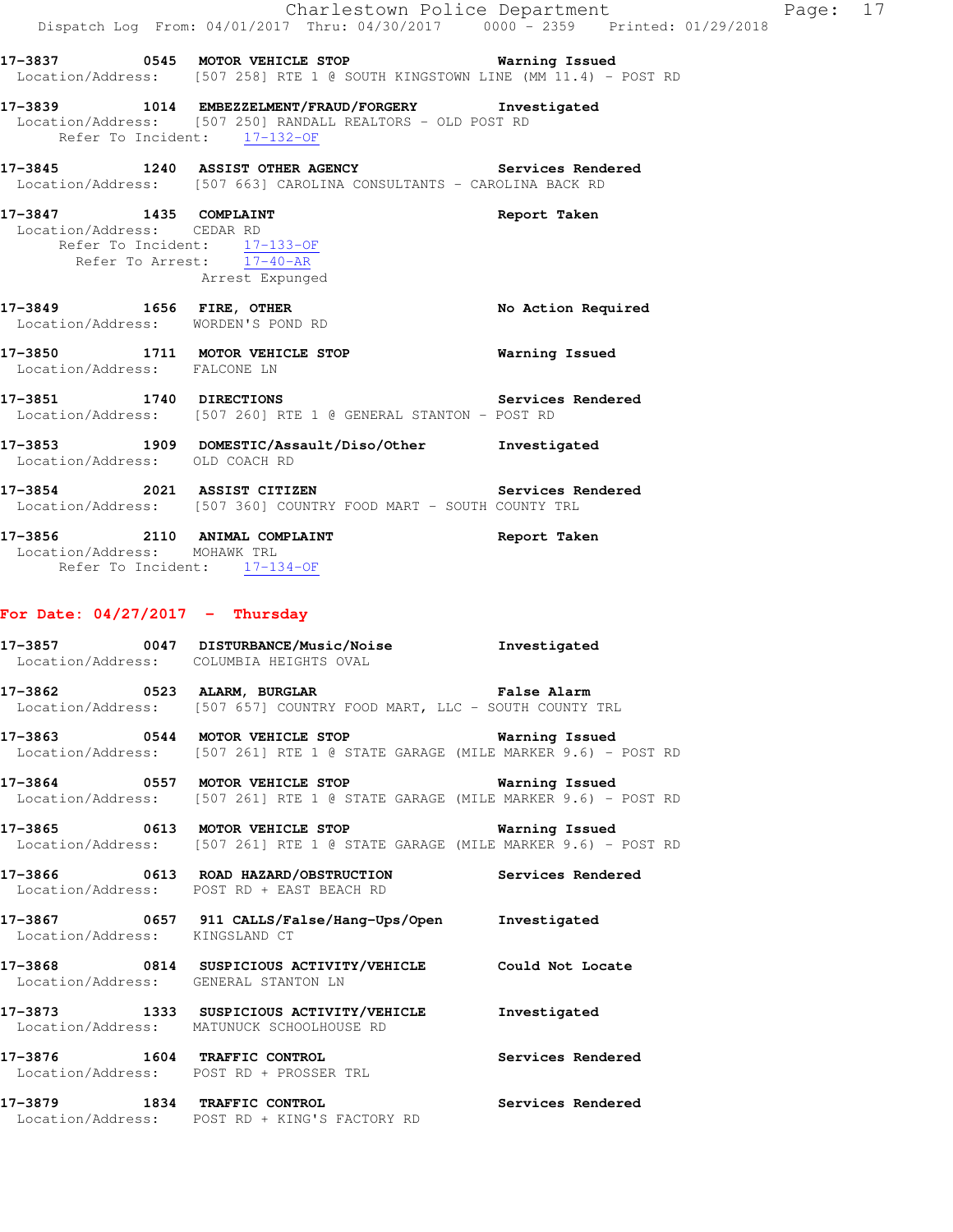|                                                                                                                   | Dispatch Log From: 04/01/2017 Thru: 04/30/2017 0000 <sup>-</sup> 2359 Printed: 01/29/2018                                                          | Charlestown Police Department | Page: 17 |  |
|-------------------------------------------------------------------------------------------------------------------|----------------------------------------------------------------------------------------------------------------------------------------------------|-------------------------------|----------|--|
|                                                                                                                   | 17-3837 0545 MOTOR VEHICLE STOP 6 Warning Issued<br>Location/Address: [507 258] RTE 1 @ SOUTH KINGSTOWN LINE (MM 11.4) - POST RD                   |                               |          |  |
|                                                                                                                   | 17-3839 1014 EMBEZZELMENT/FRAUD/FORGERY Investigated<br>Location/Address: [507 250] RANDALL REALTORS - OLD POST RD<br>Refer To Incident: 17-132-OF |                               |          |  |
|                                                                                                                   | 17-3845 1240 ASSIST OTHER AGENCY Services Rendered<br>Location/Address: [507 663] CAROLINA CONSULTANTS - CAROLINA BACK RD                          |                               |          |  |
| 17-3847 1435 COMPLAINT<br>Location/Address: CEDAR RD<br>Refer To Incident: 17-133-OF<br>Refer To Arrest: 17-40-AR | Arrest Expunged                                                                                                                                    | Report Taken                  |          |  |
| 17-3849    1656    FIRE, OTHER<br>Location/Address: WORDEN'S POND RD                                              |                                                                                                                                                    | No Action Required            |          |  |
| Location/Address: FALCONE LN                                                                                      | 17-3850 1711 MOTOR VEHICLE STOP                                                                                                                    | Warning Issued                |          |  |
|                                                                                                                   | 17-3851 1740 DIRECTIONS Services Rendered<br>Location/Address: [507 260] RTE 1 @ GENERAL STANTON - POST RD                                         |                               |          |  |
| Location/Address: OLD COACH RD                                                                                    | 17-3853 1909 DOMESTIC/Assault/Diso/Other Investigated                                                                                              |                               |          |  |
|                                                                                                                   | 17-3854 2021 ASSIST CITIZEN Services Rendered<br>Location/Address: [507 360] COUNTRY FOOD MART - SOUTH COUNTY TRL                                  |                               |          |  |
| Location/Address: MOHAWK TRL<br>Refer To Incident: 17-134-OF                                                      | 17-3856 2110 ANIMAL COMPLAINT                                                                                                                      | Report Taken                  |          |  |
| For Date: $04/27/2017$ - Thursday                                                                                 |                                                                                                                                                    |                               |          |  |
|                                                                                                                   | 17-3857 0047 DISTURBANCE/Music/Noise<br>Location/Address: COLUMBIA HEIGHTS OVAL                                                                    | Investigated                  |          |  |
| 17–3862                                                                                                           | 0523 ALARM, BURGLAR<br>Location/Address: [507 657] COUNTRY FOOD MART, LLC - SOUTH COUNTY TRL                                                       | <b>False Alarm</b>            |          |  |
|                                                                                                                   | 17-3863 0544 MOTOR VEHICLE STOP<br>Location/Address: [507 261] RTE 1 @ STATE GARAGE (MILE MARKER 9.6) - POST RD                                    | Warning Issued                |          |  |
|                                                                                                                   | 17-3864 0557 MOTOR VEHICLE STOP 6 Warning Issued<br>Location/Address: [507 261] RTE 1 @ STATE GARAGE (MILE MARKER 9.6) - POST RD                   |                               |          |  |
|                                                                                                                   | 17-3865 0613 MOTOR VEHICLE STOP<br>Location/Address: [507 261] RTE 1 @ STATE GARAGE (MILE MARKER 9.6) - POST RD                                    | Warning Issued                |          |  |
|                                                                                                                   | 17-3866 6000 0613 ROAD HAZARD/OBSTRUCTION Services Rendered<br>Location/Address: POST RD + EAST BEACH RD                                           |                               |          |  |
| Location/Address: KINGSLAND CT                                                                                    | 17-3867 0657 911 CALLS/False/Hang-Ups/Open Investigated                                                                                            |                               |          |  |
| Location/Address: GENERAL STANTON LN                                                                              | 17-3868 0814 SUSPICIOUS ACTIVITY/VEHICLE                                                                                                           | Could Not Locate              |          |  |
|                                                                                                                   | 17-3873 1333 SUSPICIOUS ACTIVITY/VEHICLE<br>Location/Address: MATUNUCK SCHOOLHOUSE RD                                                              | Investigated                  |          |  |
|                                                                                                                   | 17-3876 1604 TRAFFIC CONTROL<br>Location/Address: POST RD + PROSSER TRL                                                                            | Services Rendered             |          |  |
| 17-3879 1834 TRAFFIC CONTROL                                                                                      | Location/Address: POST RD + KING'S FACTORY RD                                                                                                      | Services Rendered             |          |  |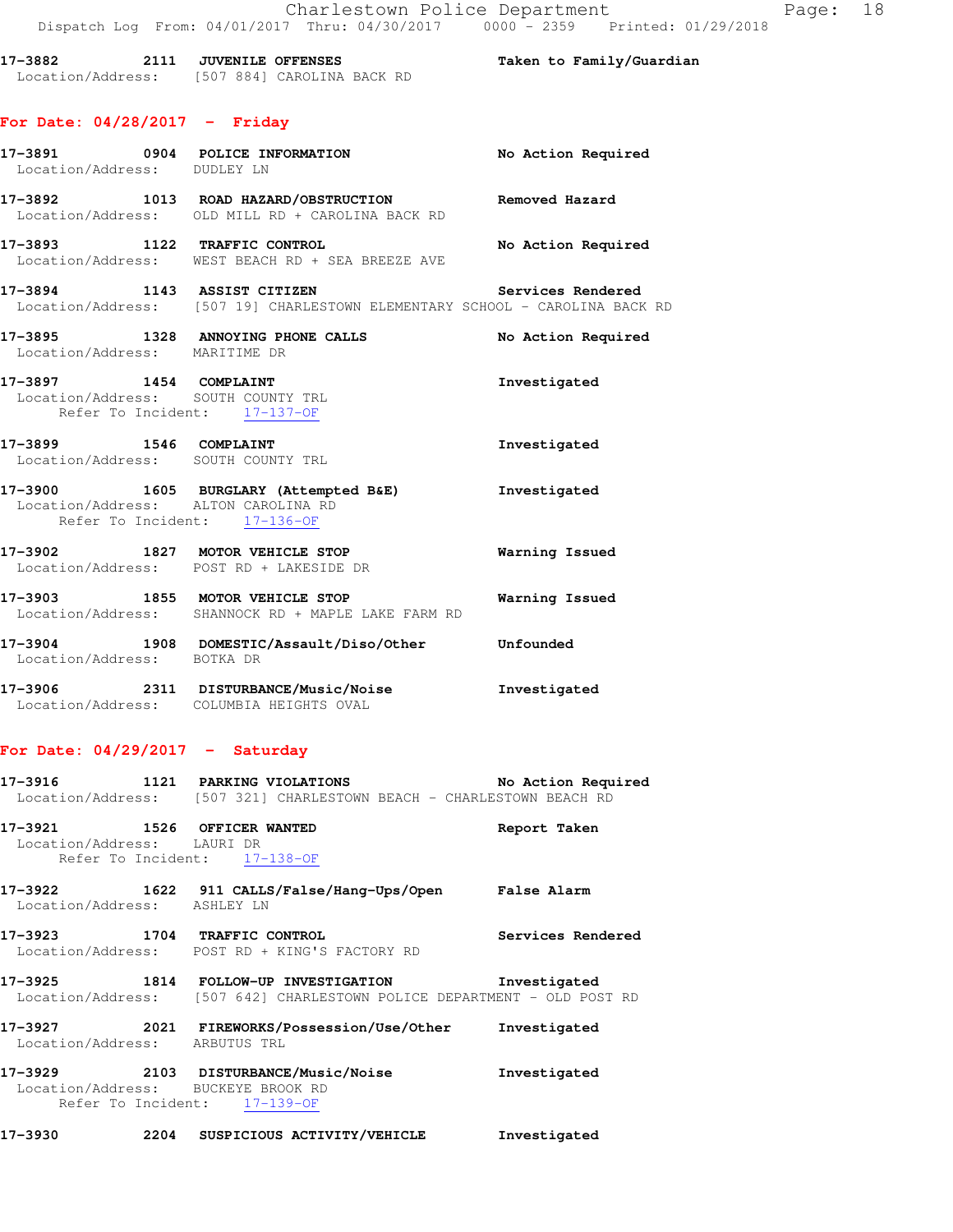**17-3882 2111 JUVENILE OFFENSES Taken to Family/Guardian**  Location/Address: [507 884] CAROLINA BACK RD

# **For Date: 04/28/2017 - Friday**

| Location/Address: DUDLEY LN   | 17-3891 0904 POLICE INFORMATION                                                                              | No Action Required |
|-------------------------------|--------------------------------------------------------------------------------------------------------------|--------------------|
|                               | 17-3892 1013 ROAD HAZARD/OBSTRUCTION<br>Location/Address: OLD MILL RD + CAROLINA BACK RD                     | Removed Hazard     |
|                               | 17-3893 1122 TRAFFIC CONTROL<br>Location/Address: WEST BEACH RD + SEA BREEZE AVE                             | No Action Required |
|                               | 17-3894 1143 ASSIST CITIZEN<br>Location/Address: [507 19] CHARLESTOWN ELEMENTARY SCHOOL - CAROLINA BACK RD   | Services Rendered  |
| Location/Address: MARITIME DR | 17-3895 1328 ANNOYING PHONE CALLS                                                                            | No Action Required |
|                               | 17-3897 1454 COMPLAINT<br>Location/Address: SOUTH COUNTY TRL<br>Refer To Incident: 17-137-OF                 | Investigated       |
|                               | 17-3899 1546 COMPLAINT<br>Location/Address: SOUTH COUNTY TRL                                                 | Investigated       |
|                               | 17-3900 1605 BURGLARY (Attempted B&E)<br>Location/Address: ALTON CAROLINA RD<br>Refer To Incident: 17-136-OF | Investigated       |
|                               | 17-3902 1827 MOTOR VEHICLE STOP<br>Location/Address: POST RD + LAKESIDE DR                                   | Warning Issued     |
|                               | 17-3903 1855 MOTOR VEHICLE STOP<br>Location/Address: SHANNOCK RD + MAPLE LAKE FARM RD                        | Warning Issued     |
| Location/Address: BOTKA DR    | 17-3904 1908 DOMESTIC/Assault/Diso/Other Unfounded                                                           |                    |
|                               | 17-3906 2311 DISTURBANCE/Music/Noise<br>Location/Address: COLUMBIA HEIGHTS OVAL                              | Investigated       |

## **For Date: 04/29/2017 - Saturday**

| 17-3916                       | 1121 PARKING VIOLATIONS<br>Location/Address: [507 321] CHARLESTOWN BEACH - CHARLESTOWN BEACH RD                 | No Action Required |
|-------------------------------|-----------------------------------------------------------------------------------------------------------------|--------------------|
| Location/Address: LAURI DR    | 17-3921 1526 OFFICER WANTED<br>Refer To Incident: 17-138-OF                                                     | Report Taken       |
| Location/Address: ASHLEY LN   | 17-3922 1622 911 CALLS/False/Hang-Ups/Open False Alarm                                                          |                    |
|                               | 17-3923 1704 TRAFFIC CONTROL<br>Location/Address: POST RD + KING'S FACTORY RD                                   | Services Rendered  |
|                               | 17-3925 1814 FOLLOW-UP INVESTIGATION<br>Location/Address: [507 642] CHARLESTOWN POLICE DEPARTMENT - OLD POST RD | Investigated       |
| Location/Address: ARBUTUS TRL | 17-3927 2021 FIREWORKS/Possession/Use/Other                                                                     | Investigated       |
|                               | 17-3929 2103 DISTURBANCE/Music/Noise<br>Location/Address: BUCKEYE BROOK RD<br>Refer To Incident: 17-139-OF      | Investigated       |
| 17-3930                       | 2204 SUSPICIOUS ACTIVITY/VEHICLE                                                                                | Investigated       |